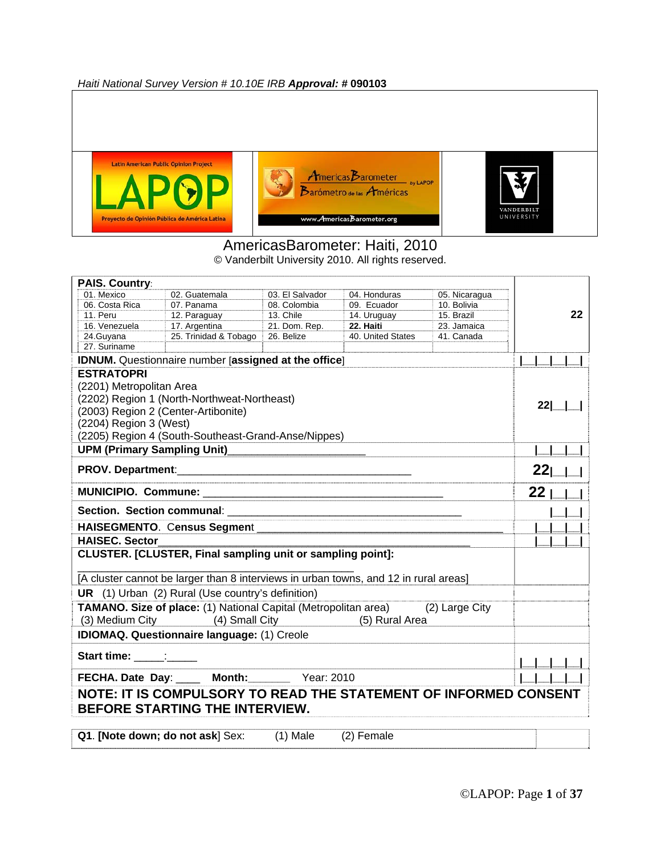*Haiti National Survey Version # 10.10E IRB Approval: #* **090103**







#### AmericasBarometer: Haiti, 2010

© Vanderbilt University 2010. All rights reserved.

| <b>PAIS. Country:</b>                                                                                           |                                                                                      |                 |                   |                |                                 |
|-----------------------------------------------------------------------------------------------------------------|--------------------------------------------------------------------------------------|-----------------|-------------------|----------------|---------------------------------|
| 01. Mexico                                                                                                      | 02. Guatemala                                                                        | 03. El Salvador | 04. Honduras      | 05. Nicaragua  |                                 |
| 06. Costa Rica                                                                                                  | 07. Panama                                                                           | 08. Colombia    | 09. Ecuador       | 10. Bolivia    |                                 |
| 11. Peru                                                                                                        | 12. Paraguay                                                                         | 13. Chile       | 14. Uruguay       | 15. Brazil     | 22                              |
| 16. Venezuela                                                                                                   | 17. Argentina                                                                        | 21. Dom. Rep.   | 22. Haiti         | 23. Jamaica    |                                 |
| 24.Guyana<br>27. Suriname                                                                                       | 25. Trinidad & Tobago                                                                | 26. Belize      | 40. United States | 41. Canada     |                                 |
|                                                                                                                 |                                                                                      |                 |                   |                |                                 |
| <b>ESTRATOPRI</b>                                                                                               | <b>IDNUM.</b> Questionnaire number [assigned at the office]                          |                 |                   |                |                                 |
| (2201) Metropolitan Area                                                                                        |                                                                                      |                 |                   |                |                                 |
|                                                                                                                 | (2202) Region 1 (North-Northweat-Northeast)                                          |                 |                   |                |                                 |
|                                                                                                                 |                                                                                      |                 |                   |                | 22                              |
|                                                                                                                 | (2003) Region 2 (Center-Artibonite)                                                  |                 |                   |                |                                 |
| (2204) Region 3 (West)                                                                                          |                                                                                      |                 |                   |                |                                 |
|                                                                                                                 | (2205) Region 4 (South-Southeast-Grand-Anse/Nippes)                                  |                 |                   |                |                                 |
| <b>UPM (Primary Sampling Unit)</b>                                                                              |                                                                                      |                 |                   |                |                                 |
|                                                                                                                 |                                                                                      |                 |                   |                | $22$   $\overline{\phantom{0}}$ |
|                                                                                                                 |                                                                                      |                 |                   |                |                                 |
|                                                                                                                 |                                                                                      |                 |                   |                |                                 |
|                                                                                                                 |                                                                                      |                 |                   |                |                                 |
| <b>HAISEC. Sector</b>                                                                                           |                                                                                      |                 |                   |                |                                 |
|                                                                                                                 | CLUSTER. [CLUSTER, Final sampling unit or sampling point]:                           |                 |                   |                |                                 |
|                                                                                                                 | [A cluster cannot be larger than 8 interviews in urban towns, and 12 in rural areas] |                 |                   |                |                                 |
|                                                                                                                 | UR (1) Urban (2) Rural (Use country's definition)                                    |                 |                   |                |                                 |
|                                                                                                                 | <b>TAMANO. Size of place:</b> (1) National Capital (Metropolitan area)               |                 |                   | (2) Large City |                                 |
|                                                                                                                 | (3) Medium City (4) Small City                                                       |                 | (5) Rural Area    |                |                                 |
|                                                                                                                 | <b>IDIOMAQ. Questionnaire language: (1) Creole</b>                                   |                 |                   |                |                                 |
|                                                                                                                 |                                                                                      |                 |                   |                |                                 |
| Start time: Start in the Start in the Start in the Start in the Start in the Start in the Start in the Start in |                                                                                      |                 |                   |                |                                 |
|                                                                                                                 | FECHA. Date Day: ____ Month: Year: 2010                                              |                 |                   |                |                                 |
|                                                                                                                 | NOTE: IT IS COMPULSORY TO READ THE STATEMENT OF INFORMED CONSENT                     |                 |                   |                |                                 |
|                                                                                                                 | <b>BEFORE STARTING THE INTERVIEW.</b>                                                |                 |                   |                |                                 |
|                                                                                                                 |                                                                                      |                 |                   |                |                                 |
|                                                                                                                 | Q1. [Note down; do not ask] Sex:                                                     | $(1)$ Male      | (2) Female        |                |                                 |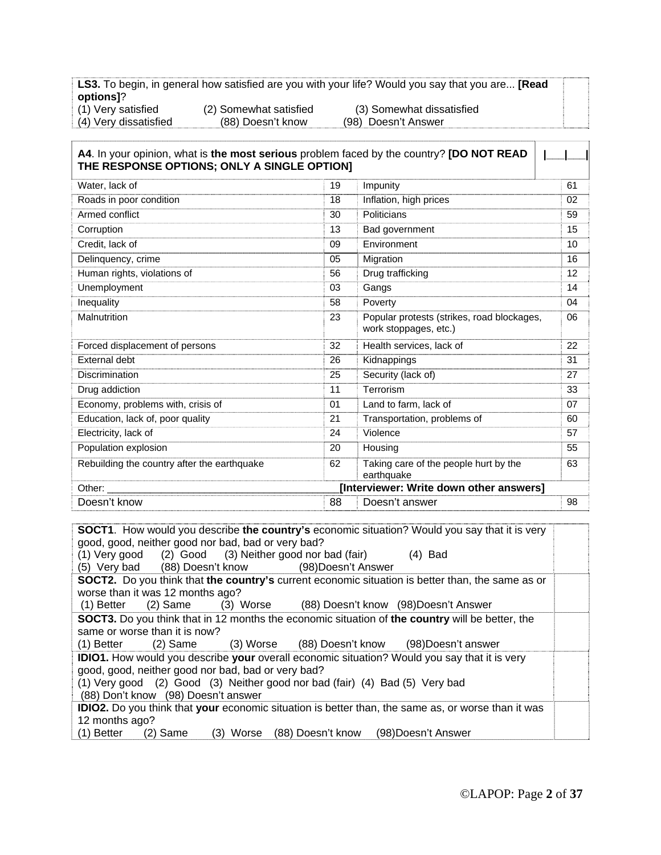**LS3.** To begin, in general how satisfied are you with your life? Would you say that you are... **[Read options]**? (1) Very satisfied (2) Somewhat satisfied (3) Somewhat dissatisfied

(4) Very dissatisfied (88) Doesn't know (98) Doesn't Answer

| A4. In your opinion, what is the most serious problem faced by the country? [DO NOT READ<br>THE RESPONSE OPTIONS; ONLY A SINGLE OPTION] |    |                                                                     |    |
|-----------------------------------------------------------------------------------------------------------------------------------------|----|---------------------------------------------------------------------|----|
| Water, lack of                                                                                                                          | 19 | Impunity                                                            | 61 |
| Roads in poor condition                                                                                                                 | 18 | Inflation, high prices                                              | 02 |
| Armed conflict                                                                                                                          | 30 | Politicians                                                         | 59 |
| Corruption                                                                                                                              | 13 | Bad government                                                      | 15 |
| Credit, lack of                                                                                                                         | 09 | Environment                                                         | 10 |
| Delinquency, crime                                                                                                                      | 05 | Migration                                                           | 16 |
| Human rights, violations of                                                                                                             | 56 | Drug trafficking                                                    | 12 |
| Unemployment                                                                                                                            | 03 | Gangs                                                               | 14 |
| Inequality                                                                                                                              | 58 | Poverty                                                             | 04 |
| Malnutrition                                                                                                                            | 23 | Popular protests (strikes, road blockages,<br>work stoppages, etc.) | 06 |
| Forced displacement of persons                                                                                                          | 32 | Health services, lack of                                            | 22 |
| External debt                                                                                                                           | 26 | Kidnappings                                                         | 31 |
| Discrimination                                                                                                                          | 25 | Security (lack of)                                                  | 27 |
| Drug addiction                                                                                                                          | 11 | Terrorism                                                           | 33 |
| Economy, problems with, crisis of                                                                                                       | 01 | Land to farm, lack of                                               | 07 |
| Education, lack of, poor quality                                                                                                        | 21 | Transportation, problems of                                         | 60 |
| Electricity, lack of                                                                                                                    | 24 | Violence                                                            | 57 |
| Population explosion                                                                                                                    | 20 | Housing                                                             | 55 |
| Rebuilding the country after the earthquake                                                                                             | 62 | Taking care of the people hurt by the<br>earthquake                 | 63 |
| Other:                                                                                                                                  |    | [Interviewer: Write down other answers]                             |    |
| Doesn't know                                                                                                                            | 88 | Doesn't answer                                                      | 98 |

**SOCT1**. How would you describe **the country's** economic situation? Would you say that it is very good, good, neither good nor bad, bad or very bad? (1) Very good (2) Good (3) Neither good nor bad (fair) (4) Bad (5) Very bad (88) Doesn't know (98)Doesn't Answer **SOCT2.** Do you think that **the country's** current economic situation is better than, the same as or worse than it was 12 months ago? (1) Better (2) Same (3) Worse (88) Doesn't know (98)Doesn't Answer **SOCT3.** Do you think that in 12 months the economic situation of **the country** will be better, the same or worse than it is now? (1) Better (2) Same (3) Worse (88) Doesn't know (98)Doesn't answer **IDIO1.** How would you describe **your** overall economic situation? Would you say that it is very good, good, neither good nor bad, bad or very bad? (1) Very good (2) Good (3) Neither good nor bad (fair) (4) Bad (5) Very bad (88) Don't know (98) Doesn't answer **IDIO2.** Do you think that **your** economic situation is better than, the same as, or worse than it was 12 months ago? (1) Better (2) Same (3) Worse (88) Doesn't know (98)Doesn't Answer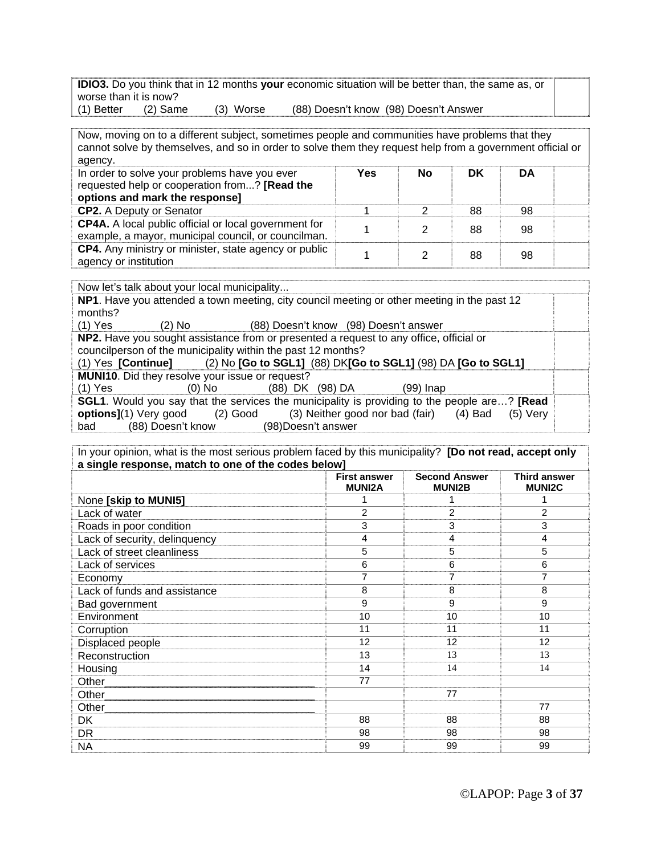**IDIO3.** Do you think that in 12 months **your** economic situation will be better than, the same as, or worse than it is now? (1) Better (2) Same (3) Worse (88) Doesn't know (98) Doesn't Answer

Now, moving on to a different subject, sometimes people and communities have problems that they cannot solve by themselves, and so in order to solve them they request help from a government official or agency.

| In order to solve your problems have you ever<br>requested help or cooperation from? [Read the<br>options and mark the response] | Yes | No | DK | DA |  |
|----------------------------------------------------------------------------------------------------------------------------------|-----|----|----|----|--|
| <b>CP2.</b> A Deputy or Senator                                                                                                  |     |    | 88 | 98 |  |
| <b>CP4A.</b> A local public official or local government for<br>example, a mayor, municipal council, or councilman.              |     |    | 88 | 98 |  |
| CP4. Any ministry or minister, state agency or public<br>agency or institution                                                   |     |    | 88 | 98 |  |

Now let's talk about your local municipality...

**NP1**. Have you attended a town meeting, city council meeting or other meeting in the past 12 months?<br>(1) Yes

(2) No (88) Doesn't know (98) Doesn't answer

**NP2.** Have you sought assistance from or presented a request to any office, official or councilperson of the municipality within the past 12 months?

| (1) Yes [Continue] |                                                        |                 | (2) No [Go to SGL1] (88) DK[Go to SGL1] (98) DA [Go to SGL1]                                                |  |
|--------------------|--------------------------------------------------------|-----------------|-------------------------------------------------------------------------------------------------------------|--|
|                    | <b>MUNI10.</b> Did they resolve your issue or request? |                 |                                                                                                             |  |
| (1) Yes            | $(0)$ No                                               | (88) DK (98) DA | (99) Inap                                                                                                   |  |
|                    |                                                        |                 | <b>SGL1</b> . Would you say that the services the municipality is providing to the people are? <b>[Read</b> |  |
| $\sim$             | $(2)$ $C_{2}$                                          |                 | $(2)$ Noither good per had $(f_0; r)$ $(4)$ Dad $(F)$ $(6)$                                                 |  |

**options]**(1) Very good (2) Good (3) Neither good nor bad (fair) (4) Bad (5) Very bad (88) Doesn't know (98)Doesn't answer

| In your opinion, what is the most serious problem faced by this municipality? [Do not read, accept only |                                      |                                       |                                      |
|---------------------------------------------------------------------------------------------------------|--------------------------------------|---------------------------------------|--------------------------------------|
| a single response, match to one of the codes below]                                                     |                                      |                                       |                                      |
|                                                                                                         | <b>First answer</b><br><b>MUNI2A</b> | <b>Second Answer</b><br><b>MUNI2B</b> | <b>Third answer</b><br><b>MUNI2C</b> |
| None [skip to MUNI5]                                                                                    |                                      |                                       |                                      |
| Lack of water                                                                                           | $\overline{c}$                       | $\overline{c}$                        | $\overline{2}$                       |
| Roads in poor condition                                                                                 | 3                                    | 3                                     | 3                                    |
| Lack of security, delinquency                                                                           | 4                                    | 4                                     | 4                                    |
| Lack of street cleanliness                                                                              | 5                                    | 5                                     | 5                                    |
| Lack of services                                                                                        | 6                                    | 6                                     | 6                                    |
| Economy                                                                                                 | 7                                    | 7                                     | 7                                    |
| Lack of funds and assistance                                                                            | 8                                    | 8                                     | 8                                    |
| Bad government                                                                                          | 9                                    | 9                                     | 9                                    |
| Environment                                                                                             | 10                                   | 10                                    | 10                                   |
| Corruption                                                                                              | 11                                   | 11                                    | 11                                   |
| Displaced people                                                                                        | 12                                   | 12                                    | 12                                   |
| Reconstruction                                                                                          | 13                                   | 13                                    | 13                                   |
| Housing                                                                                                 | 14                                   | 14                                    | 14                                   |
|                                                                                                         | 77                                   |                                       |                                      |
| Other                                                                                                   |                                      | 77                                    |                                      |
| Other                                                                                                   |                                      |                                       | 77                                   |
| DK.                                                                                                     | 88                                   | 88                                    | 88                                   |
| <b>DR</b>                                                                                               | 98                                   | 98                                    | 98                                   |
| NA                                                                                                      | 99                                   | 99                                    | 99                                   |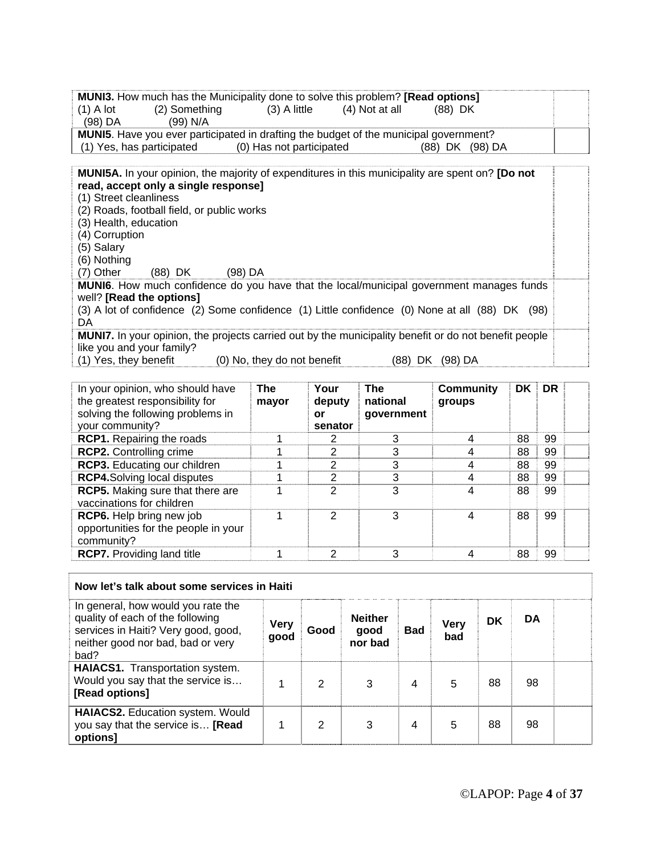| <b>MUNI3.</b> How much has the Municipality done to solve this problem? [Read options]                         |  |
|----------------------------------------------------------------------------------------------------------------|--|
| $(2)$ Something $(3)$ A little $(4)$ Not at all<br>(88) DK<br>(1) A lot                                        |  |
| (99) N/A<br>(98) DA                                                                                            |  |
| <b>MUNI5.</b> Have you ever participated in drafting the budget of the municipal government?                   |  |
| (1) Yes, has participated (0) Has not participated<br>(88) DK (98) DA                                          |  |
|                                                                                                                |  |
| <b>MUNI5A.</b> In your opinion, the majority of expenditures in this municipality are spent on? <b>[Do not</b> |  |
| read, accept only a single response]                                                                           |  |
| (1) Street cleanliness                                                                                         |  |
| (2) Roads, football field, or public works                                                                     |  |
| (3) Health, education                                                                                          |  |
| (4) Corruption                                                                                                 |  |
| (5) Salary                                                                                                     |  |
| (6) Nothing                                                                                                    |  |
| (7) Other (88) DK (98) DA                                                                                      |  |
| MUNI6. How much confidence do you have that the local/municipal government manages funds                       |  |
| well? [Read the options]                                                                                       |  |
| (3) A lot of confidence (2) Some confidence (1) Little confidence (0) None at all (88) DK (98)                 |  |
| DA.                                                                                                            |  |
| <b>MUNI7.</b> In your opinion, the projects carried out by the municipality benefit or do not benefit people   |  |
| like you and your family?                                                                                      |  |
| (1) Yes, they benefit<br>(88) DK (98) DA<br>(0) No, they do not benefit                                        |  |

| In your opinion, who should have<br>the greatest responsibility for<br>solving the following problems in<br>your community? | <b>The</b><br>mayor | Your<br>deputy<br>or<br>senator | The<br>national<br>qovernment | <b>Community</b><br>groups | DK. | <b>DR</b> |  |
|-----------------------------------------------------------------------------------------------------------------------------|---------------------|---------------------------------|-------------------------------|----------------------------|-----|-----------|--|
| <b>RCP1.</b> Repairing the roads                                                                                            |                     | 2                               | 3                             | 4                          | 88  | 99        |  |
| <b>RCP2.</b> Controlling crime                                                                                              |                     | 2                               | 3                             |                            | 88  | 99        |  |
| RCP3. Educating our children                                                                                                |                     | 2                               | 3                             |                            | 88  | 99        |  |
| <b>RCP4.Solving local disputes</b>                                                                                          |                     | 2                               | 3                             |                            | 88  | 99        |  |
| <b>RCP5.</b> Making sure that there are<br>vaccinations for children                                                        |                     | $\mathcal{P}$                   | 3                             | 4                          | 88  | 99        |  |
| <b>RCP6.</b> Help bring new job<br>opportunities for the people in your<br>community?                                       |                     | $\mathcal{P}$                   | 3                             | 4                          | 88  | 99        |  |
| <b>RCP7.</b> Providing land title                                                                                           |                     | 2                               | 3                             |                            | 88  | 99        |  |

| Now let's talk about some services in Haiti                                                                                                                |                     |      |                                   |            |                    |    |    |  |
|------------------------------------------------------------------------------------------------------------------------------------------------------------|---------------------|------|-----------------------------------|------------|--------------------|----|----|--|
| In general, how would you rate the<br>quality of each of the following<br>services in Haiti? Very good, good,<br>neither good nor bad, bad or very<br>bad? | <b>Very</b><br>good | Good | <b>Neither</b><br>good<br>nor bad | <b>Bad</b> | <b>Very</b><br>bad | DK | DA |  |
| <b>HAIACS1.</b> Transportation system.<br>Would you say that the service is<br>[Read options]                                                              |                     | 2    | 3                                 | 4          | 5                  | 88 | 98 |  |
| HAIACS2. Education system. Would<br>you say that the service is [Read<br>options]                                                                          |                     | 2    | 3                                 | 4          | 5                  | 88 | 98 |  |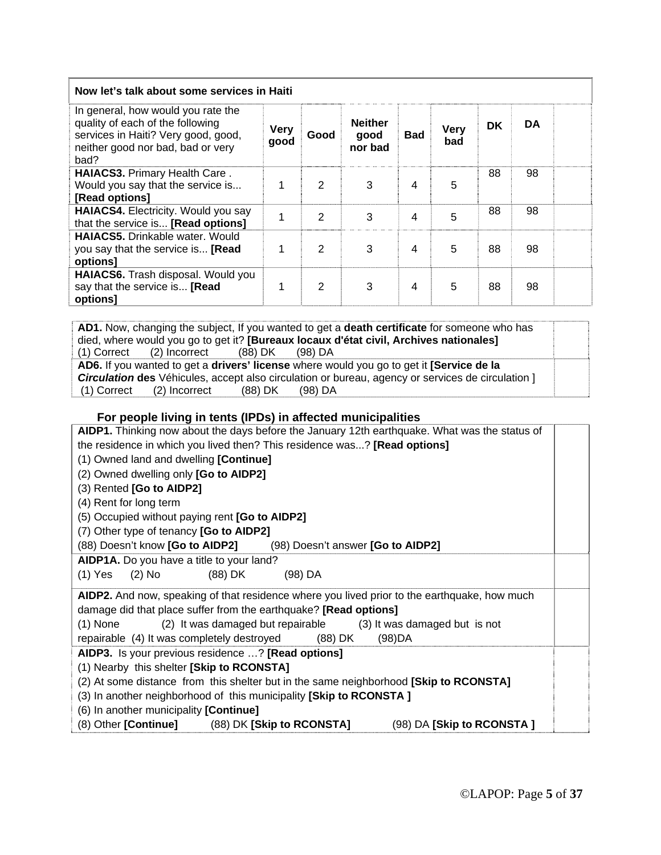| Now let's talk about some services in Haiti                                                                                                                |                     |      |                                   |                         |                    |           |           |  |
|------------------------------------------------------------------------------------------------------------------------------------------------------------|---------------------|------|-----------------------------------|-------------------------|--------------------|-----------|-----------|--|
| In general, how would you rate the<br>quality of each of the following<br>services in Haiti? Very good, good,<br>neither good nor bad, bad or very<br>bad? | <b>Very</b><br>good | Good | <b>Neither</b><br>good<br>nor bad | <b>Bad</b>              | <b>Very</b><br>bad | <b>DK</b> | <b>DA</b> |  |
| <b>HAIACS3. Primary Health Care.</b><br>Would you say that the service is<br>[Read options]                                                                |                     | 2    | 3                                 | 4                       | 5                  | 88        | 98        |  |
| <b>HAIACS4.</b> Electricity. Would you say<br>that the service is [Read options]                                                                           | 1                   | 2    | 3                                 | $\overline{\mathbf{4}}$ | 5                  | 88        | 98        |  |
| <b>HAIACS5.</b> Drinkable water. Would<br>you say that the service is [Read<br>options]                                                                    |                     | 2    | 3                                 | 4                       | 5                  | 88        | 98        |  |
| HAIACS6. Trash disposal. Would you<br>say that the service is [Read<br>options]                                                                            |                     | 2    | 3                                 | 4                       | 5                  | 88        | 98        |  |

**AD1.** Now, changing the subject, If you wanted to get a **death certificate** for someone who has died, where would you go to get it? **[Bureaux locaux d'état civil, Archives nationales]**  (1) Correct (2) Incorrect (88) DK (98) DA **AD6.** If you wanted to get a **drivers' license** where would you go to get it **[Service de la**  *Circulation* **des** Véhicules, accept also circulation or bureau, agency or services de circulation ] (1) Correct (2) Incorrect (88) DK (98) DA

#### **For people living in tents (IPDs) in affected municipalities**

| AIDP1. Thinking now about the days before the January 12th earthquake. What was the status of |
|-----------------------------------------------------------------------------------------------|
| the residence in which you lived then? This residence was? [Read options]                     |
| (1) Owned land and dwelling [Continue]                                                        |
| (2) Owned dwelling only [Go to AIDP2]                                                         |
| (3) Rented [Go to AIDP2]                                                                      |
| (4) Rent for long term                                                                        |
| (5) Occupied without paying rent [Go to AIDP2]                                                |
| (7) Other type of tenancy [Go to AIDP2]                                                       |
| (88) Doesn't know [Go to AIDP2] (98) Doesn't answer [Go to AIDP2]                             |
| AIDP1A. Do you have a title to your land?                                                     |
| (1) Yes (2) No (88) DK<br>(98) DA                                                             |
| AIDP2. And now, speaking of that residence where you lived prior to the earthquake, how much  |
| damage did that place suffer from the earthquake? [Read options]                              |
| (1) None (2) It was damaged but repairable (3) It was damaged but is not                      |
| repairable (4) It was completely destroyed (88) DK<br>(98)DA                                  |
| AIDP3. Is your previous residence ? [Read options]                                            |
| (1) Nearby this shelter [Skip to RCONSTA]                                                     |
| (2) At some distance from this shelter but in the same neighborhood [Skip to RCONSTA]         |
| (3) In another neighborhood of this municipality [Skip to RCONSTA ]                           |
| (6) In another municipality [Continue]                                                        |
| (8) Other [Continue] (88) DK [Skip to RCONSTA]<br>(98) DA [Skip to RCONSTA]                   |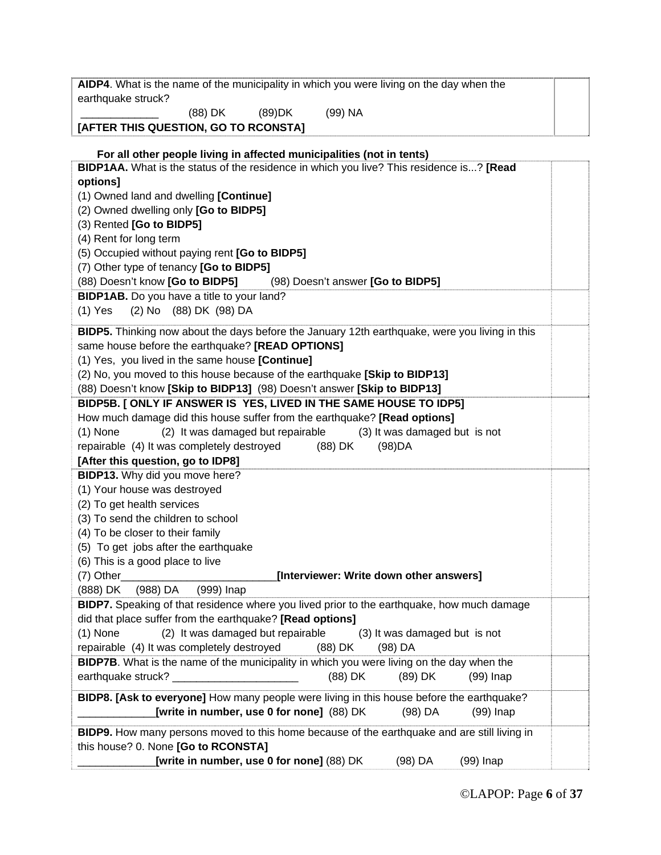| earthquake struck?                                                                                                                                        |  |
|-----------------------------------------------------------------------------------------------------------------------------------------------------------|--|
| (88) DK<br>$(89)$ DK<br>(99) NA                                                                                                                           |  |
| [AFTER THIS QUESTION, GO TO RCONSTA]                                                                                                                      |  |
|                                                                                                                                                           |  |
| For all other people living in affected municipalities (not in tents)                                                                                     |  |
| BIDP1AA. What is the status of the residence in which you live? This residence is? [Read                                                                  |  |
| options]                                                                                                                                                  |  |
| (1) Owned land and dwelling [Continue]                                                                                                                    |  |
| (2) Owned dwelling only [Go to BIDP5]                                                                                                                     |  |
| (3) Rented [Go to BIDP5]                                                                                                                                  |  |
| (4) Rent for long term                                                                                                                                    |  |
| (5) Occupied without paying rent [Go to BIDP5]                                                                                                            |  |
| (7) Other type of tenancy [Go to BIDP5]                                                                                                                   |  |
| (88) Doesn't know [Go to BIDP5]<br>(98) Doesn't answer [Go to BIDP5]                                                                                      |  |
| BIDP1AB. Do you have a title to your land?                                                                                                                |  |
| (2) No (88) DK (98) DA<br>$(1)$ Yes                                                                                                                       |  |
|                                                                                                                                                           |  |
| <b>BIDP5.</b> Thinking now about the days before the January 12th earthquake, were you living in this<br>same house before the earthquake? [READ OPTIONS] |  |
|                                                                                                                                                           |  |
| (1) Yes, you lived in the same house [Continue]                                                                                                           |  |
| (2) No, you moved to this house because of the earthquake [Skip to BIDP13]                                                                                |  |
| (88) Doesn't know [Skip to BIDP13] (98) Doesn't answer [Skip to BIDP13]                                                                                   |  |
| BIDP5B. [ ONLY IF ANSWER IS YES, LIVED IN THE SAME HOUSE TO IDP5]                                                                                         |  |
| How much damage did this house suffer from the earthquake? [Read options]                                                                                 |  |
| (2) It was damaged but repairable<br>(3) It was damaged but is not<br>$(1)$ None                                                                          |  |
| repairable (4) It was completely destroyed<br>(88) DK<br>(98)DA                                                                                           |  |
| [After this question, go to IDP8]                                                                                                                         |  |
| BIDP13. Why did you move here?                                                                                                                            |  |
|                                                                                                                                                           |  |
| (1) Your house was destroyed                                                                                                                              |  |
| (2) To get health services                                                                                                                                |  |
| (3) To send the children to school                                                                                                                        |  |
| (4) To be closer to their family                                                                                                                          |  |
| (5) To get jobs after the earthquake                                                                                                                      |  |
| (6) This is a good place to live                                                                                                                          |  |
| [Interviewer: Write down other answers]<br>$(7)$ Other                                                                                                    |  |
| (988) DA<br>(999) Inap<br>(888) DK                                                                                                                        |  |
| BIDP7. Speaking of that residence where you lived prior to the earthquake, how much damage                                                                |  |
| did that place suffer from the earthquake? [Read options]                                                                                                 |  |
| (2) It was damaged but repairable<br>$(1)$ None<br>(3) It was damaged but is not                                                                          |  |
| repairable (4) It was completely destroyed<br>$(98)$ DA<br>$(88)$ DK                                                                                      |  |
| <b>BIDP7B.</b> What is the name of the municipality in which you were living on the day when the                                                          |  |
| earthquake struck? _______________<br>(88) DK<br>(89) DK<br>$(99)$ Inap                                                                                   |  |
|                                                                                                                                                           |  |
| BIDP8. [Ask to everyone] How many people were living in this house before the earthquake?                                                                 |  |
| [write in number, use 0 for none] (88) DK<br>$(98)$ DA<br>$(99)$ Inap                                                                                     |  |
| BIDP9. How many persons moved to this home because of the earthquake and are still living in                                                              |  |
| this house? 0. None [Go to RCONSTA]<br>[write in number, use 0 for none] (88) DK                                                                          |  |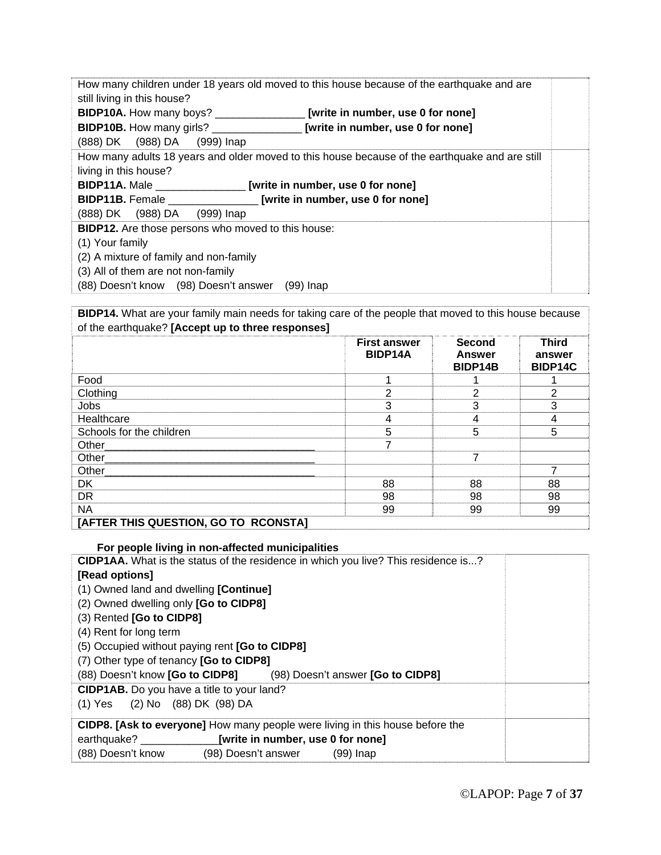|                                                                                           | How many children under 18 years old moved to this house because of the earthquake and are     |  |
|-------------------------------------------------------------------------------------------|------------------------------------------------------------------------------------------------|--|
| still living in this house?                                                               |                                                                                                |  |
| <b>BIDP10A.</b> How many boys? __________________ [write in number, use 0 for none]       |                                                                                                |  |
|                                                                                           |                                                                                                |  |
| <b>BIDP10B.</b> How many girls? _______________________ [write in number, use 0 for none] |                                                                                                |  |
| (888) DK (988) DA (999) Inap                                                              |                                                                                                |  |
|                                                                                           | How many adults 18 years and older moved to this house because of the earthquake and are still |  |
| living in this house?                                                                     |                                                                                                |  |
| BIDP11A. Male _________________ [write in number, use 0 for none]                         |                                                                                                |  |
| BIDP11B. Female _________________ [write in number, use 0 for none]                       |                                                                                                |  |
| (888) DK (988) DA (999) Inap                                                              |                                                                                                |  |
|                                                                                           |                                                                                                |  |
| BIDP12. Are those persons who moved to this house:                                        |                                                                                                |  |
| (1) Your family                                                                           |                                                                                                |  |
| (2) A mixture of family and non-family                                                    |                                                                                                |  |
| (3) All of them are not non-family                                                        |                                                                                                |  |
| (88) Doesn't know (98) Doesn't answer                                                     | (99) Inap                                                                                      |  |

**BIDP14.** What are your family main needs for taking care of the people that moved to this house because of the earthquake? **[Accept up to three responses]**

|                                      | <b>First answer</b><br>BIDP14A | Second<br><b>Answer</b><br>BIDP14B | <b>Third</b><br>answer<br>BIDP14C |
|--------------------------------------|--------------------------------|------------------------------------|-----------------------------------|
| Food                                 |                                |                                    |                                   |
| Clothing                             | 2                              | 2                                  | 2                                 |
| Jobs                                 | 3                              | 3                                  | 3                                 |
| Healthcare                           | 4                              | 4                                  | 4                                 |
| Schools for the children             | 5                              | 5                                  | 5                                 |
| Other__________                      |                                |                                    |                                   |
| Other                                |                                | 7                                  |                                   |
| Other                                |                                |                                    | ⇁                                 |
| <b>DK</b>                            | 88                             | 88                                 | 88                                |
| <b>DR</b>                            | 98                             | 98                                 | 98                                |
| <b>NA</b>                            | 99                             | 99                                 | 99                                |
| IA FEED TUIC OUFCTION OO TO DOONGTAT |                                |                                    |                                   |

#### **[AFTER THIS QUESTION, GO TO RCONSTA]**

| For people living in non-affected municipalities                                          |
|-------------------------------------------------------------------------------------------|
| <b>CIDP1AA.</b> What is the status of the residence in which you live? This residence is? |
| [Read options]                                                                            |
| (1) Owned land and dwelling [Continue]                                                    |
| (2) Owned dwelling only [Go to CIDP8]                                                     |
| (3) Rented [Go to CIDP8]                                                                  |
| (4) Rent for long term                                                                    |
| (5) Occupied without paying rent [Go to CIDP8]                                            |
| (7) Other type of tenancy [Go to CIDP8]                                                   |
| (88) Doesn't know [Go to CIDP8] (98) Doesn't answer [Go to CIDP8]                         |
| <b>CIDP1AB.</b> Do you have a title to your land?                                         |
| (1) Yes (2) No (88) DK (98) DA                                                            |
| CIDP8. [Ask to everyone] How many people were living in this house before the             |
| earthquake? [write in number, use 0 for none]                                             |
| (88) Doesn't know<br>(98) Doesn't answer<br>$(99)$ Inap                                   |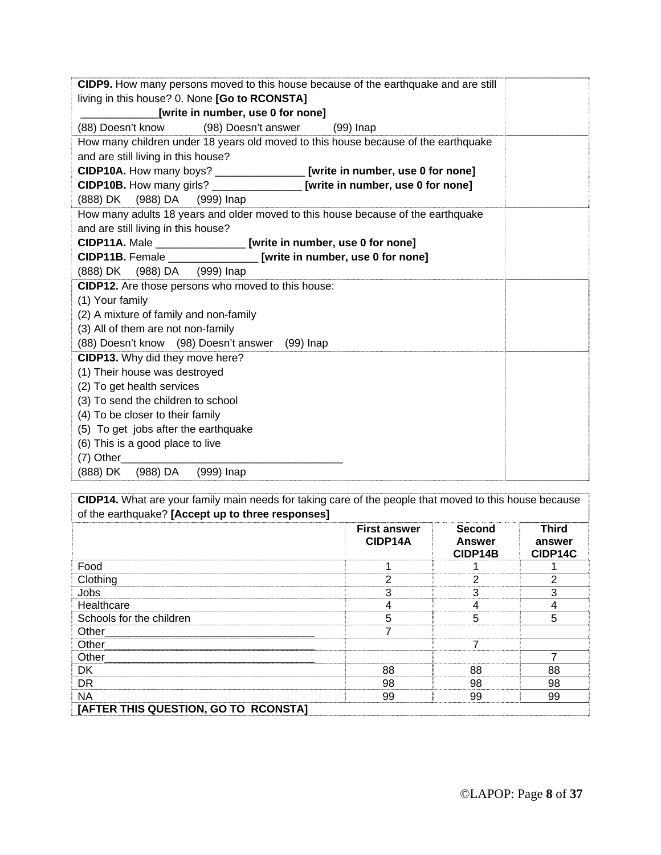| CIDP9. How many persons moved to this house because of the earthquake and are still |
|-------------------------------------------------------------------------------------|
| living in this house? 0. None [Go to RCONSTA]                                       |
| [write in number, use 0 for none]                                                   |
| (88) Doesn't know (98) Doesn't answer (99) Inap                                     |
| How many children under 18 years old moved to this house because of the earthquake  |
| and are still living in this house?                                                 |
| CIDP10A. How many boys? _________________ [write in number, use 0 for none]         |
| CIDP10B. How many girls? ________________ [write in number, use 0 for none]         |
| (888) DK (988) DA (999) Inap                                                        |
| How many adults 18 years and older moved to this house because of the earthquake    |
| and are still living in this house?                                                 |
| CIDP11A. Male _________________ [write in number, use 0 for none]                   |
| CIDP11B. Female ______________ [write in number, use 0 for none]                    |
| (888) DK (988) DA (999) Inap                                                        |
| CIDP12. Are those persons who moved to this house:                                  |
| (1) Your family                                                                     |
| (2) A mixture of family and non-family                                              |
| (3) All of them are not non-family                                                  |
| (88) Doesn't know (98) Doesn't answer (99) Inap                                     |
| CIDP13. Why did they move here?                                                     |
| (1) Their house was destroyed                                                       |
| (2) To get health services                                                          |
| (3) To send the children to school                                                  |
| (4) To be closer to their family                                                    |
| (5) To get jobs after the earthquake                                                |
| (6) This is a good place to live                                                    |
| $(7)$ Other $(7)$                                                                   |
| (888) DK (988) DA (999) Inap                                                        |

**CIDP14.** What are your family main needs for taking care of the people that moved to this house because of the earthquake? **[Accept up to three responses]**

|                                      | <b>First answer</b><br>CIDP14A | <b>Second</b><br><b>Answer</b><br>CIDP14B | <b>Third</b><br>answer<br>CIDP14C |
|--------------------------------------|--------------------------------|-------------------------------------------|-----------------------------------|
| Food                                 |                                |                                           |                                   |
| Clothing                             | 2                              | 2                                         | 2                                 |
| Jobs                                 | 3                              | 3                                         | 3                                 |
| Healthcare                           | 4                              | 4                                         | 4                                 |
| Schools for the children             | 5                              | 5                                         | 5                                 |
| Other                                |                                |                                           |                                   |
| Other_                               |                                |                                           |                                   |
| Other                                |                                |                                           | 7                                 |
| <b>DK</b>                            | 88                             | 88                                        | 88                                |
| <b>DR</b>                            | 98                             | 98                                        | 98                                |
| <b>NA</b>                            | 99                             | 99                                        | 99                                |
| [AFTER THIS QUESTION, GO TO RCONSTA] |                                |                                           |                                   |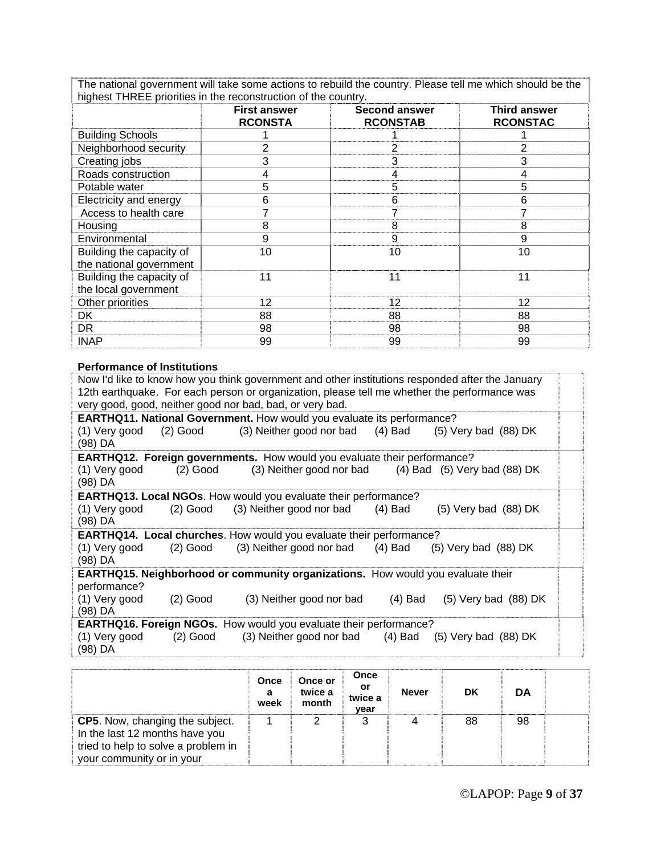The national government will take some actions to rebuild the country. Please tell me which should be the highest THREE priorities in the reconstruction of the country.

|                          | <b>First answer</b><br><b>RCONSTA</b> | <b>Second answer</b><br><b>RCONSTAB</b> | <b>Third answer</b><br><b>RCONSTAC</b> |
|--------------------------|---------------------------------------|-----------------------------------------|----------------------------------------|
| <b>Building Schools</b>  |                                       |                                         |                                        |
| Neighborhood security    | 2                                     | 2                                       | 2                                      |
| Creating jobs            | 3                                     | 3                                       | 3                                      |
| Roads construction       | 4                                     | 4                                       | 4                                      |
| Potable water            | 5                                     | 5                                       | 5                                      |
| Electricity and energy   | 6                                     | 6                                       | 6                                      |
| Access to health care    |                                       | 7                                       |                                        |
| Housing                  | 8                                     | 8                                       | 8                                      |
| Environmental            | 9                                     | 9                                       | 9                                      |
| Building the capacity of | 10                                    | 10                                      | 10                                     |
| the national government  |                                       |                                         |                                        |
| Building the capacity of | 11                                    | 11                                      | 11                                     |
| the local government     |                                       |                                         |                                        |
| Other priorities         | 12                                    | 12                                      | $12 \overline{ }$                      |
| DK.                      | 88                                    | 88                                      | 88                                     |
| DR                       | 98                                    | 98                                      | 98                                     |
| <b>INAP</b>              | 99                                    | 99                                      | 99                                     |

#### **Performance of Institutions**

|                                                          |            | Now I'd like to know how you think government and other institutions responded after the January |           |                          |  |  |  |  |  |
|----------------------------------------------------------|------------|--------------------------------------------------------------------------------------------------|-----------|--------------------------|--|--|--|--|--|
|                                                          |            | 12th earthquake. For each person or organization, please tell me whether the performance was     |           |                          |  |  |  |  |  |
| very good, good, neither good nor bad, bad, or very bad. |            |                                                                                                  |           |                          |  |  |  |  |  |
|                                                          |            | <b>EARTHQ11. National Government.</b> How would you evaluate its performance?                    |           |                          |  |  |  |  |  |
| (1) Very good                                            | $(2)$ Good | (3) Neither good nor bad (4) Bad (5) Very bad (88) DK                                            |           |                          |  |  |  |  |  |
| (98) DA                                                  |            |                                                                                                  |           |                          |  |  |  |  |  |
|                                                          |            | <b>EARTHQ12. Foreign governments.</b> How would you evaluate their performance?                  |           |                          |  |  |  |  |  |
| (1) Very good<br>(98) DA                                 | $(2)$ Good | (3) Neither good nor bad (4) Bad (5) Very bad (88) DK                                            |           |                          |  |  |  |  |  |
|                                                          |            | <b>EARTHQ13. Local NGOs.</b> How would you evaluate their performance?                           |           |                          |  |  |  |  |  |
| (1) Very good                                            |            | (2) Good (3) Neither good nor bad                                                                | (4) Bad   | $(5)$ Very bad $(88)$ DK |  |  |  |  |  |
| (98) DA                                                  |            |                                                                                                  |           |                          |  |  |  |  |  |
|                                                          |            | <b>EARTHQ14. Local churches.</b> How would you evaluate their performance?                       |           |                          |  |  |  |  |  |
| (1) Very good                                            | $(2)$ Good | (3) Neither good nor bad                                                                         | (4) Bad   | $(5)$ Very bad $(88)$ DK |  |  |  |  |  |
| (98) DA                                                  |            |                                                                                                  |           |                          |  |  |  |  |  |
|                                                          |            | <b>EARTHQ15. Neighborhood or community organizations.</b> How would you evaluate their           |           |                          |  |  |  |  |  |
| performance?                                             |            |                                                                                                  |           |                          |  |  |  |  |  |
| (1) Very good                                            | $(2)$ Good | (3) Neither good nor bad                                                                         | $(4)$ Bad | $(5)$ Very bad $(88)$ DK |  |  |  |  |  |
| (98) DA                                                  |            |                                                                                                  |           |                          |  |  |  |  |  |
|                                                          |            | <b>EARTHQ16. Foreign NGOs.</b> How would you evaluate their performance?                         |           |                          |  |  |  |  |  |
| (1) Very good                                            | $(2)$ Good | (3) Neither good nor bad (4) Bad (5) Very bad (88) DK                                            |           |                          |  |  |  |  |  |
| (98) DA                                                  |            |                                                                                                  |           |                          |  |  |  |  |  |

|                                                                                                                                              | Once<br>a<br>week | Once or<br>twice a<br>month | Once<br>or<br>twice a<br>year | <b>Never</b> | DK | DA |  |
|----------------------------------------------------------------------------------------------------------------------------------------------|-------------------|-----------------------------|-------------------------------|--------------|----|----|--|
| <b>CP5.</b> Now, changing the subject.<br>In the last 12 months have you<br>tried to help to solve a problem in<br>your community or in your |                   |                             |                               |              | 88 | 98 |  |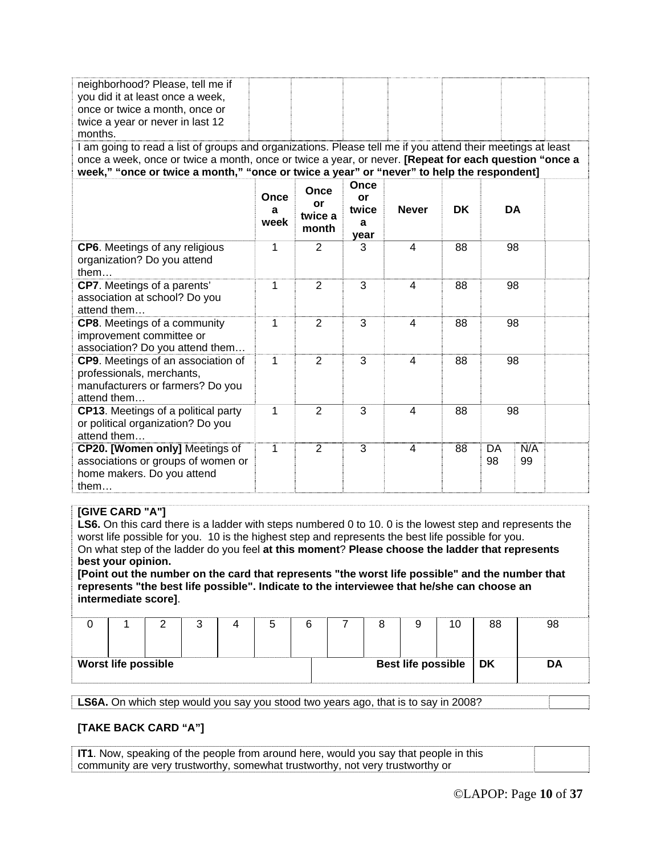| neighborhood? Please, tell me if<br>you did it at least once a week,<br>once or twice a month, once or<br>twice a year or never in last 12<br>months.<br>I am going to read a list of groups and organizations. Please tell me if you attend their meetings at least<br>once a week, once or twice a month, once or twice a year, or never. [Repeat for each question "once a<br>week," "once or twice a month," "once or twice a year" or "never" to help the respondent] |                   |                                |                                  |                |           |           |           |  |
|----------------------------------------------------------------------------------------------------------------------------------------------------------------------------------------------------------------------------------------------------------------------------------------------------------------------------------------------------------------------------------------------------------------------------------------------------------------------------|-------------------|--------------------------------|----------------------------------|----------------|-----------|-----------|-----------|--|
|                                                                                                                                                                                                                                                                                                                                                                                                                                                                            | Once<br>a<br>week | Once<br>or<br>twice a<br>month | Once<br>or<br>twice<br>a<br>year | <b>Never</b>   | <b>DK</b> | <b>DA</b> |           |  |
| CP6. Meetings of any religious<br>organization? Do you attend<br>them                                                                                                                                                                                                                                                                                                                                                                                                      | 1                 | $\overline{2}$                 | 3                                | $\overline{4}$ | 88        | 98        |           |  |
| CP7. Meetings of a parents'<br>association at school? Do you<br>attend them                                                                                                                                                                                                                                                                                                                                                                                                | 1                 | $\overline{2}$                 | 3                                | $\overline{4}$ | 88        | 98        |           |  |
| <b>CP8.</b> Meetings of a community<br>improvement committee or<br>association? Do you attend them                                                                                                                                                                                                                                                                                                                                                                         | 1                 | $\overline{2}$                 | 3                                | 4              | 88        | 98        |           |  |
| CP9. Meetings of an association of<br>professionals, merchants,<br>manufacturers or farmers? Do you<br>attend them                                                                                                                                                                                                                                                                                                                                                         | 1                 | $\overline{2}$                 | 3                                | 4              | 88        | 98        |           |  |
| <b>CP13.</b> Meetings of a political party<br>or political organization? Do you<br>attend them                                                                                                                                                                                                                                                                                                                                                                             | 1                 | $\overline{2}$                 | 3                                | 4              | 88        | 98        |           |  |
| CP20. [Women only] Meetings of<br>associations or groups of women or<br>home makers. Do you attend<br>them                                                                                                                                                                                                                                                                                                                                                                 | 1                 | $\overline{2}$                 | 3                                | $\overline{4}$ | 88        | DA<br>98  | N/A<br>99 |  |

#### **[GIVE CARD "A"]**

**LS6.** On this card there is a ladder with steps numbered 0 to 10. 0 is the lowest step and represents the worst life possible for you. 10 is the highest step and represents the best life possible for you. On what step of the ladder do you feel **at this moment**? **Please choose the ladder that represents best your opinion.**

**[Point out the number on the card that represents "the worst life possible" and the number that represents "the best life possible". Indicate to the interviewee that he/she can choose an intermediate score]**.

|                            |  |  |  |  |  |  |                           | 10 | 88 | 98 |
|----------------------------|--|--|--|--|--|--|---------------------------|----|----|----|
| <b>Worst life possible</b> |  |  |  |  |  |  | <b>Best life possible</b> |    | DK | DΑ |

**LS6A.** On which step would you say you stood two years ago, that is to say in 2008?

#### **[TAKE BACK CARD "A"]**

**IT1**. Now, speaking of the people from around here, would you say that people in this community are very trustworthy, somewhat trustworthy, not very trustworthy or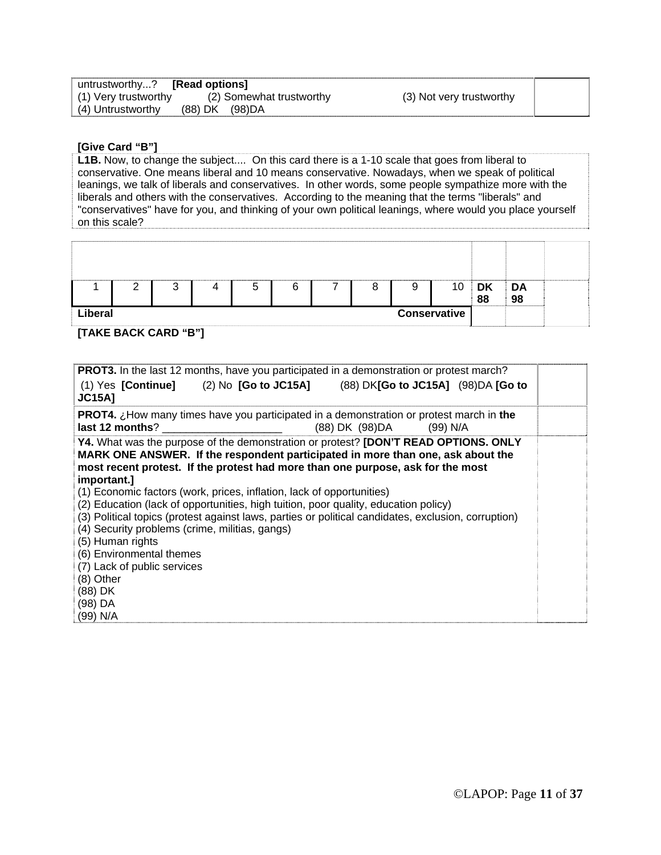| untrustworthy? [Read options] |                          |                          |  |
|-------------------------------|--------------------------|--------------------------|--|
| (1) Very trustworthy          | (2) Somewhat trustworthy | (3) Not very trustworthy |  |
| (4) Untrustworthy             | (88) DK (98) DA          |                          |  |

#### **[Give Card "B"]**

**L1B.** Now, to change the subject.... On this card there is a 1-10 scale that goes from liberal to conservative. One means liberal and 10 means conservative. Nowadays, when we speak of political leanings, we talk of liberals and conservatives. In other words, some people sympathize more with the liberals and others with the conservatives. According to the meaning that the terms "liberals" and "conservatives" have for you, and thinking of your own political leanings, where would you place yourself on this scale?

|                         |  | ⌒<br>ີ |  | b | ⌒<br>b |  | O | 9 | 10 | <b>DK</b><br>88 | $\mathsf{A}$<br>98 |  |
|-------------------------|--|--------|--|---|--------|--|---|---|----|-----------------|--------------------|--|
| Liberal<br>Conservative |  |        |  |   |        |  |   |   |    |                 |                    |  |

**[TAKE BACK CARD "B"]** 

| <b>PROT3.</b> In the last 12 months, have you participated in a demonstration or protest march?                                                                                                                                                                                                                                                                                                                                                                                                                                                                                                                                                                                                                                 |                          |  |
|---------------------------------------------------------------------------------------------------------------------------------------------------------------------------------------------------------------------------------------------------------------------------------------------------------------------------------------------------------------------------------------------------------------------------------------------------------------------------------------------------------------------------------------------------------------------------------------------------------------------------------------------------------------------------------------------------------------------------------|--------------------------|--|
| (1) Yes $[Continue]$ (2) No $[Go to JC15A]$ (88) DK $[Go to JC15A]$ (98) DA $[Go to$<br><b>JC15A]</b>                                                                                                                                                                                                                                                                                                                                                                                                                                                                                                                                                                                                                           |                          |  |
| <b>PROT4.</b> ¿How many times have you participated in a demonstration or protest march in the                                                                                                                                                                                                                                                                                                                                                                                                                                                                                                                                                                                                                                  | (88) DK (98) DA (99) N/A |  |
| Y4. What was the purpose of the demonstration or protest? [DON'T READ OPTIONS. ONLY<br>MARK ONE ANSWER. If the respondent participated in more than one, ask about the<br>most recent protest. If the protest had more than one purpose, ask for the most<br>important.]<br>(1) Economic factors (work, prices, inflation, lack of opportunities)<br>(2) Education (lack of opportunities, high tuition, poor quality, education policy)<br>(3) Political topics (protest against laws, parties or political candidates, exclusion, corruption)<br>(4) Security problems (crime, militias, gangs)<br>(5) Human rights<br>(6) Environmental themes<br>(7) Lack of public services<br>(8) Other<br>(88) DK<br>(98) DA<br>(99) N/A |                          |  |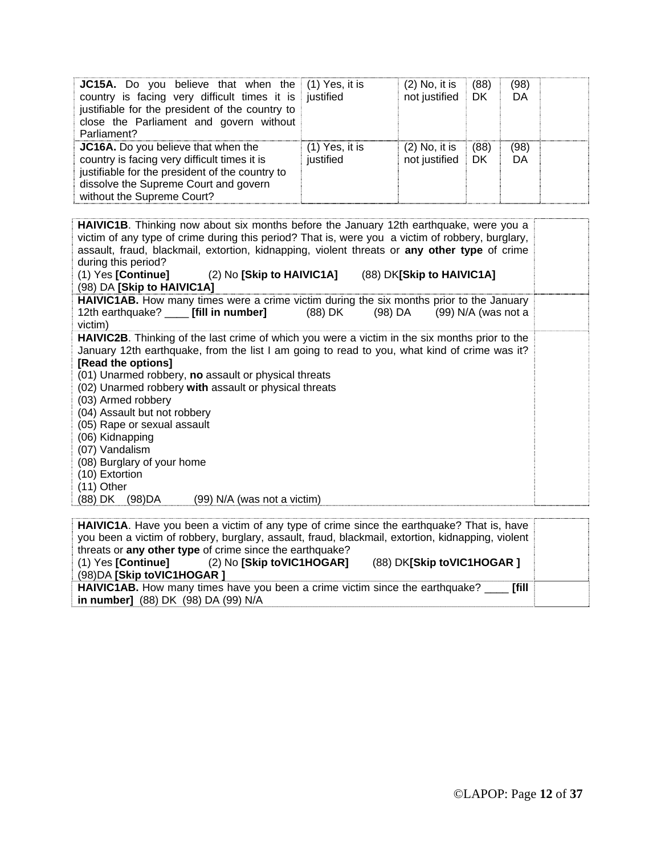| <b>JC15A.</b> Do you believe that when the (1) Yes, it is<br>country is facing very difficult times it is justified<br>justifiable for the president of the country to<br>close the Parliament and govern without<br>Parliament? |                               | $(2)$ No, it is<br>not justified | (88)<br>DK | (98)<br>DA |  |
|----------------------------------------------------------------------------------------------------------------------------------------------------------------------------------------------------------------------------------|-------------------------------|----------------------------------|------------|------------|--|
| <b>JC16A.</b> Do you believe that when the<br>country is facing very difficult times it is<br>justifiable for the president of the country to<br>dissolve the Supreme Court and govern<br>without the Supreme Court?             | $(1)$ Yes, it is<br>justified | $(2)$ No, it is<br>not justified | (88)<br>DK | (98)<br>DA |  |

**HAIVIC1B**. Thinking now about six months before the January 12th earthquake, were you a victim of any type of crime during this period? That is, were you a victim of robbery, burglary, assault, fraud, blackmail, extortion, kidnapping, violent threats or **any other type** of crime during this period?<br>(1) Yes **[Continue]** (1) Yes **[Continue]** (2) No **[Skip to HAIVIC1A]** (88) DK**[Skip to HAIVIC1A]** (98) DA **[Skip to HAIVIC1A] HAIVIC1AB.** How many times were a crime victim during the six months prior to the January 12th earthquake? \_\_\_\_ **[fill in number]** (88) DK (98) DA (99) N/A (was not a victim) **HAIVIC2B**. Thinking of the last crime of which you were a victim in the six months prior to the January 12th earthquake, from the list I am going to read to you, what kind of crime was it? **[Read the options]** (01) Unarmed robbery, **no** assault or physical threats (02) Unarmed robbery **with** assault or physical threats (03) Armed robbery (04) Assault but not robbery (05) Rape or sexual assault (06) Kidnapping (07) Vandalism (08) Burglary of your home (10) Extortion (11) Other (88) DK (98)DA (99) N/A (was not a victim)

| <b>HAIVIC1A.</b> Have you been a victim of any type of crime since the earthquake? That is, have  |  |  |  |  |  |  |
|---------------------------------------------------------------------------------------------------|--|--|--|--|--|--|
| you been a victim of robbery, burglary, assault, fraud, blackmail, extortion, kidnapping, violent |  |  |  |  |  |  |
| threats or any other type of crime since the earthquake?                                          |  |  |  |  |  |  |
| (2) No [Skip toVIC1HOGAR]<br>(88) DK[Skip toVIC1HOGAR ]<br>$(1)$ Yes [Continue]                   |  |  |  |  |  |  |
| (98) DA [Skip to VIC1HOGAR]                                                                       |  |  |  |  |  |  |
| HAIVIC1AB. How many times have you been a crime victim since the earthquake?<br><b>Frill</b>      |  |  |  |  |  |  |
| in number] (88) DK (98) DA (99) N/A                                                               |  |  |  |  |  |  |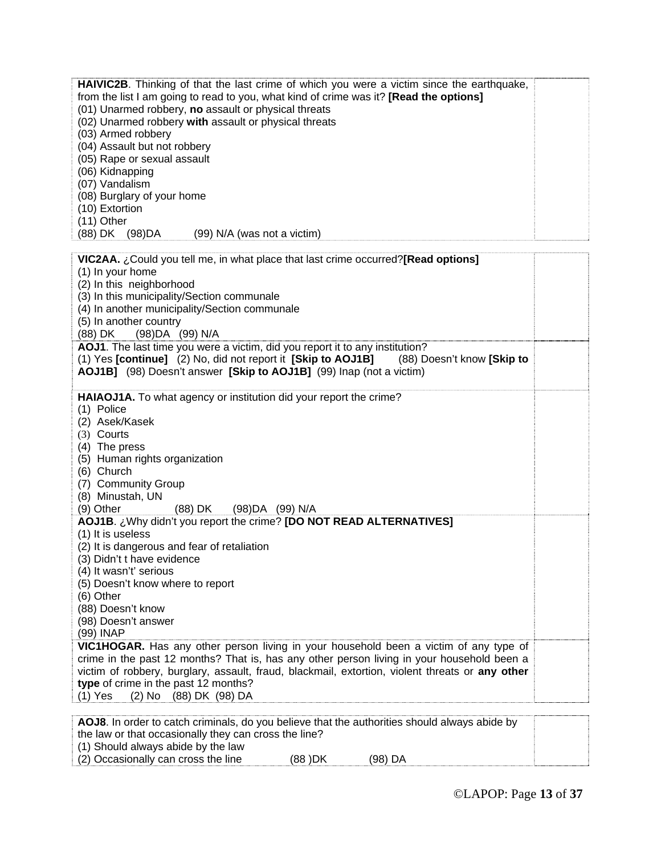| <b>HAIVIC2B.</b> Thinking of that the last crime of which you were a victim since the earthquake,<br>from the list I am going to read to you, what kind of crime was it? [Read the options]<br>(01) Unarmed robbery, no assault or physical threats<br>(02) Unarmed robbery with assault or physical threats<br>(03) Armed robbery<br>(04) Assault but not robbery<br>(05) Rape or sexual assault<br>(06) Kidnapping<br>(07) Vandalism<br>(08) Burglary of your home<br>(10) Extortion<br>$(11)$ Other<br>(88) DK (98) DA<br>(99) N/A (was not a victim) |  |
|----------------------------------------------------------------------------------------------------------------------------------------------------------------------------------------------------------------------------------------------------------------------------------------------------------------------------------------------------------------------------------------------------------------------------------------------------------------------------------------------------------------------------------------------------------|--|
| VIC2AA. ¿Could you tell me, in what place that last crime occurred?[Read options]                                                                                                                                                                                                                                                                                                                                                                                                                                                                        |  |
| (1) In your home<br>(2) In this neighborhood                                                                                                                                                                                                                                                                                                                                                                                                                                                                                                             |  |
| (3) In this municipality/Section communale                                                                                                                                                                                                                                                                                                                                                                                                                                                                                                               |  |
| (4) In another municipality/Section communale<br>(5) In another country                                                                                                                                                                                                                                                                                                                                                                                                                                                                                  |  |
| (88) DK<br>(98) DA (99) N/A                                                                                                                                                                                                                                                                                                                                                                                                                                                                                                                              |  |
| AOJ1. The last time you were a victim, did you report it to any institution?<br>(1) Yes [continue] (2) No, did not report it [Skip to AOJ1B]<br>(88) Doesn't know [Skip to<br>AOJ1B] (98) Doesn't answer [Skip to AOJ1B] (99) Inap (not a victim)                                                                                                                                                                                                                                                                                                        |  |
| HAIAOJ1A. To what agency or institution did your report the crime?<br>(1) Police<br>(2) Asek/Kasek<br>(3) Courts<br>(4) The press<br>(5) Human rights organization<br>(6) Church<br>(7) Community Group<br>(8) Minustah, UN<br>(9) Other<br>(88) DK<br>(98) DA (99) N/A                                                                                                                                                                                                                                                                                  |  |
| AOJ1B. ¿Why didn't you report the crime? [DO NOT READ ALTERNATIVES]<br>(1) It is useless<br>(2) It is dangerous and fear of retaliation<br>(3) Didn't t have evidence<br>(4) It wasn't' serious                                                                                                                                                                                                                                                                                                                                                          |  |
| (5) Doesn't know where to report                                                                                                                                                                                                                                                                                                                                                                                                                                                                                                                         |  |
| (6) Other<br>(88) Doesn't know                                                                                                                                                                                                                                                                                                                                                                                                                                                                                                                           |  |
| (98) Doesn't answer                                                                                                                                                                                                                                                                                                                                                                                                                                                                                                                                      |  |
| (99) INAP                                                                                                                                                                                                                                                                                                                                                                                                                                                                                                                                                |  |
| VIC1HOGAR. Has any other person living in your household been a victim of any type of<br>crime in the past 12 months? That is, has any other person living in your household been a<br>victim of robbery, burglary, assault, fraud, blackmail, extortion, violent threats or any other<br>type of crime in the past 12 months?<br>$(1)$ Yes<br>(2) No (88) DK (98) DA                                                                                                                                                                                    |  |

| <b>AOJ8</b> . In order to catch criminals, do you believe that the authorities should always abide by |         |         |  |  |  |
|-------------------------------------------------------------------------------------------------------|---------|---------|--|--|--|
| the law or that occasionally they can cross the line?                                                 |         |         |  |  |  |
| (1) Should always abide by the law                                                                    |         |         |  |  |  |
| (2) Occasionally can cross the line                                                                   | (88 )DK | (98) DA |  |  |  |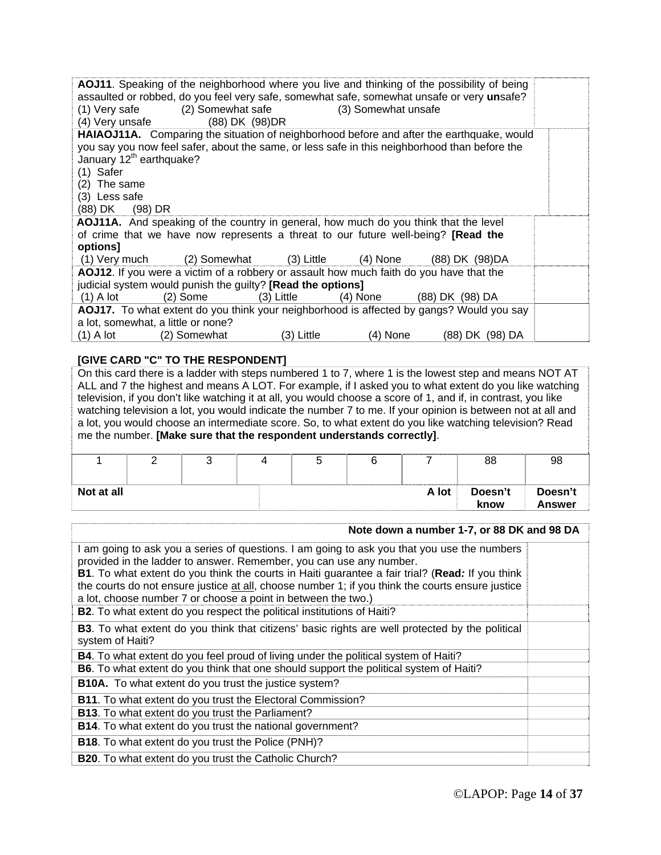|                                                                                             |                   |            |                     | <b>AOJ11</b> . Speaking of the neighborhood where you live and thinking of the possibility of being |  |
|---------------------------------------------------------------------------------------------|-------------------|------------|---------------------|-----------------------------------------------------------------------------------------------------|--|
|                                                                                             |                   |            |                     | assaulted or robbed, do you feel very safe, somewhat safe, somewhat unsafe or very unsafe?          |  |
| (1) Very safe                                                                               | (2) Somewhat safe |            | (3) Somewhat unsafe |                                                                                                     |  |
| (4) Very unsafe                                                                             | (88) DK (98) DR   |            |                     |                                                                                                     |  |
|                                                                                             |                   |            |                     | HAIAOJ11A. Comparing the situation of neighborhood before and after the earthquake, would           |  |
|                                                                                             |                   |            |                     | you say you now feel safer, about the same, or less safe in this neighborhood than before the       |  |
| January 12 <sup>th</sup> earthquake?                                                        |                   |            |                     |                                                                                                     |  |
| (1) Safer                                                                                   |                   |            |                     |                                                                                                     |  |
| $(2)$ The same                                                                              |                   |            |                     |                                                                                                     |  |
| (3) Less safe                                                                               |                   |            |                     |                                                                                                     |  |
| (88) DK<br>$(98)$ DR                                                                        |                   |            |                     |                                                                                                     |  |
| <b>AOJ11A.</b> And speaking of the country in general, how much do you think that the level |                   |            |                     |                                                                                                     |  |
| of crime that we have now represents a threat to our future well-being? <b>[Read the</b>    |                   |            |                     |                                                                                                     |  |
| options]                                                                                    |                   |            |                     |                                                                                                     |  |
| $(1)$ Very much $(2)$ Somewhat $(3)$ Little $(4)$ None                                      |                   |            |                     | (88) DK (98) DA                                                                                     |  |
| AOJ12. If you were a victim of a robbery or assault how much faith do you have that the     |                   |            |                     |                                                                                                     |  |
| judicial system would punish the guilty? [Read the options]                                 |                   |            |                     |                                                                                                     |  |
| $(1)$ A lot                                                                                 | (2) Some          | (3) Little | (4) None            | (88) DK (98) DA                                                                                     |  |
|                                                                                             |                   |            |                     | AOJ17. To what extent do you think your neighborhood is affected by gangs? Would you say            |  |
| a lot, somewhat, a little or none?                                                          |                   |            |                     |                                                                                                     |  |
| $(1)$ A lot                                                                                 | (2) Somewhat      | (3) Little | (4) None            | (88) DK (98) DA                                                                                     |  |
|                                                                                             |                   |            |                     |                                                                                                     |  |

#### **[GIVE CARD "C" TO THE RESPONDENT]**

On this card there is a ladder with steps numbered 1 to 7, where 1 is the lowest step and means NOT AT ALL and 7 the highest and means A LOT. For example, if I asked you to what extent do you like watching television, if you don't like watching it at all, you would choose a score of 1, and if, in contrast, you like watching television a lot, you would indicate the number 7 to me. If your opinion is between not at all and a lot, you would choose an intermediate score. So, to what extent do you like watching television? Read me the number. **[Make sure that the respondent understands correctly]**.

|            |  |  |       | 88              | 98                |
|------------|--|--|-------|-----------------|-------------------|
| Not at all |  |  | A lot | Doesn't<br>know | Doesn't<br>Answer |

#### **Note down a number 1-7, or 88 DK and 98 DA**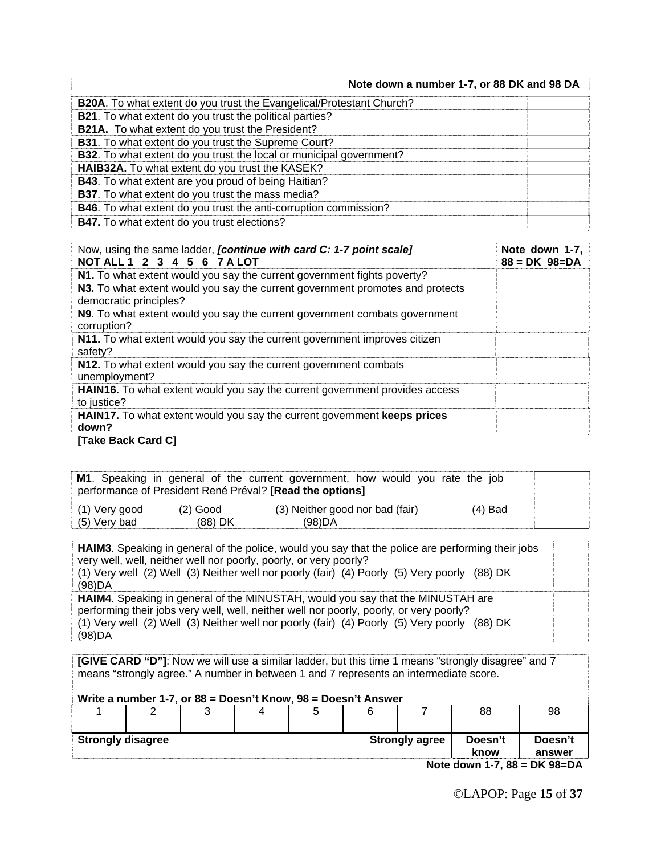| Note down a number 1-7, or 88 DK and 98 DA                                 |  |
|----------------------------------------------------------------------------|--|
| B20A. To what extent do you trust the Evangelical/Protestant Church?       |  |
| <b>B21</b> . To what extent do you trust the political parties?            |  |
| <b>B21A.</b> To what extent do you trust the President?                    |  |
| <b>B31</b> . To what extent do you trust the Supreme Court?                |  |
| <b>B32.</b> To what extent do you trust the local or municipal government? |  |
| HAIB32A. To what extent do you trust the KASEK?                            |  |
| <b>B43</b> . To what extent are you proud of being Haitian?                |  |
| <b>B37</b> . To what extent do you trust the mass media?                   |  |
| <b>B46</b> . To what extent do you trust the anti-corruption commission?   |  |
| <b>B47.</b> To what extent do you trust elections?                         |  |

| Now, using the same ladder, <i>[continue with card C: 1-7 point scale]</i><br>NOT ALL 1 2 3 4 5 6 7 A LOT | Note down 1-7,<br>$88 = DK \ 98 = DA$ |
|-----------------------------------------------------------------------------------------------------------|---------------------------------------|
| N1. To what extent would you say the current government fights poverty?                                   |                                       |
| N3. To what extent would you say the current government promotes and protects<br>democratic principles?   |                                       |
| N9. To what extent would you say the current government combats government<br>corruption?                 |                                       |
| N11. To what extent would you say the current government improves citizen<br>safety?                      |                                       |
| N12. To what extent would you say the current government combats<br>unemployment?                         |                                       |
| HAIN16. To what extent would you say the current government provides access<br>to justice?                |                                       |
| <b>HAIN17.</b> To what extent would you say the current government keeps prices<br>down?                  |                                       |
| <b>ITako Daek Card C1</b>                                                                                 |                                       |

**[Take Back Card C]** 

|                               |                         | M1. Speaking in general of the current government, how would you rate the job<br>performance of President René Préval? [Read the options] |           |  |
|-------------------------------|-------------------------|-------------------------------------------------------------------------------------------------------------------------------------------|-----------|--|
| (1) Very good<br>(5) Very bad | $(2)$ Good<br>$(88)$ DK | (3) Neither good nor bad (fair)<br>(98)DA                                                                                                 | $(4)$ Bad |  |

**HAIM3**. Speaking in general of the police, would you say that the police are performing their jobs very well, well, neither well nor poorly, poorly, or very poorly? (1) Very well (2) Well (3) Neither well nor poorly (fair) (4) Poorly (5) Very poorly (88) DK (98)DA **HAIM4**. Speaking in general of the MINUSTAH, would you say that the MINUSTAH are performing their jobs very well, well, neither well nor poorly, poorly, or very poorly? (1) Very well (2) Well (3) Neither well nor poorly (fair) (4) Poorly (5) Very poorly (88) DK (98)DA

**[GIVE CARD "D"]**: Now we will use a similar ladder, but this time 1 means "strongly disagree" and 7 means "strongly agree." A number in between 1 and 7 represents an intermediate score.

**Write a number 1-7, or 88 = Doesn't Know, 98 = Doesn't Answer** 

|                          |                                   |  |  |  |                       |                 | 88                | 98 |  |
|--------------------------|-----------------------------------|--|--|--|-----------------------|-----------------|-------------------|----|--|
| <b>Strongly disagree</b> |                                   |  |  |  | <b>Strongly agree</b> | Doesn't<br>know | Doesn't<br>answer |    |  |
|                          | $N_{0.40}$ down 1.7.00 - DK 00-DA |  |  |  |                       |                 |                   |    |  |

**Note down 1-7, 88 = DK 98=DA**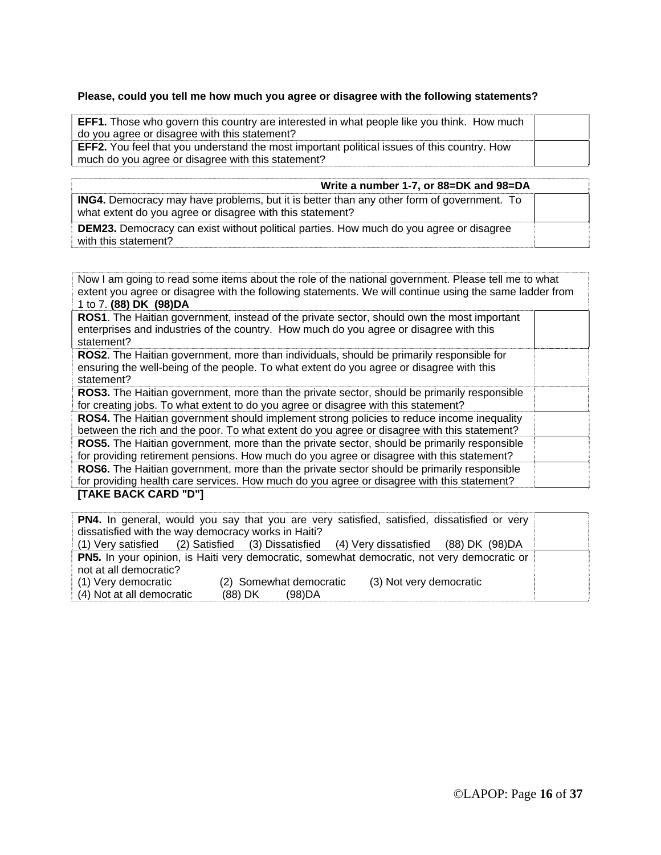#### **Please, could you tell me how much you agree or disagree with the following statements?**

| <b>EFF1.</b> Those who govern this country are interested in what people like you think. How much  |  |
|----------------------------------------------------------------------------------------------------|--|
| do you agree or disagree with this statement?                                                      |  |
| <b>EFF2.</b> You feel that you understand the most important political issues of this country. How |  |
| much do you agree or disagree with this statement?                                                 |  |

| Write a number 1-7, or 88=DK and 98=DA                                                                                                                        |  |
|---------------------------------------------------------------------------------------------------------------------------------------------------------------|--|
| <b>ING4.</b> Democracy may have problems, but it is better than any other form of government. To<br>what extent do you agree or disagree with this statement? |  |
| <b>DEM23.</b> Democracy can exist without political parties. How much do you agree or disagree<br>with this statement?                                        |  |

| Now I am going to read some items about the role of the national government. Please tell me to what<br>extent you agree or disagree with the following statements. We will continue using the same ladder from |  |
|----------------------------------------------------------------------------------------------------------------------------------------------------------------------------------------------------------------|--|
| 1 to 7. (88) DK (98) DA                                                                                                                                                                                        |  |
| <b>ROS1</b> . The Haitian government, instead of the private sector, should own the most important<br>enterprises and industries of the country. How much do you agree or disagree with this<br>statement?     |  |
| ROS2. The Haitian government, more than individuals, should be primarily responsible for<br>ensuring the well-being of the people. To what extent do you agree or disagree with this<br>statement?             |  |
| <b>ROS3.</b> The Haitian government, more than the private sector, should be primarily responsible<br>for creating jobs. To what extent to do you agree or disagree with this statement?                       |  |
| ROS4. The Haitian government should implement strong policies to reduce income inequality<br>between the rich and the poor. To what extent do you agree or disagree with this statement?                       |  |
| <b>ROS5.</b> The Haitian government, more than the private sector, should be primarily responsible<br>for providing retirement pensions. How much do you agree or disagree with this statement?                |  |
| ROS6. The Haitian government, more than the private sector should be primarily responsible<br>for providing health care services. How much do you agree or disagree with this statement?                       |  |
| [TAKE BACK CARD "D"]                                                                                                                                                                                           |  |

|                                                                                             |                         | <b>PN4.</b> In general, would you say that you are very satisfied, satisfied, dissatisfied or very |  |  |  |  |
|---------------------------------------------------------------------------------------------|-------------------------|----------------------------------------------------------------------------------------------------|--|--|--|--|
| dissatisfied with the way democracy works in Haiti?                                         |                         |                                                                                                    |  |  |  |  |
|                                                                                             |                         | (1) Very satisfied (2) Satisfied (3) Dissatisfied (4) Very dissatisfied (88) DK (98) DA            |  |  |  |  |
| PN5. In your opinion, is Haiti very democratic, somewhat democratic, not very democratic or |                         |                                                                                                    |  |  |  |  |
| not at all democratic?                                                                      |                         |                                                                                                    |  |  |  |  |
| (1) Very democratic                                                                         | (2) Somewhat democratic | (3) Not very democratic                                                                            |  |  |  |  |
| (4) Not at all democratic                                                                   | (88) DK<br>(98)DA       |                                                                                                    |  |  |  |  |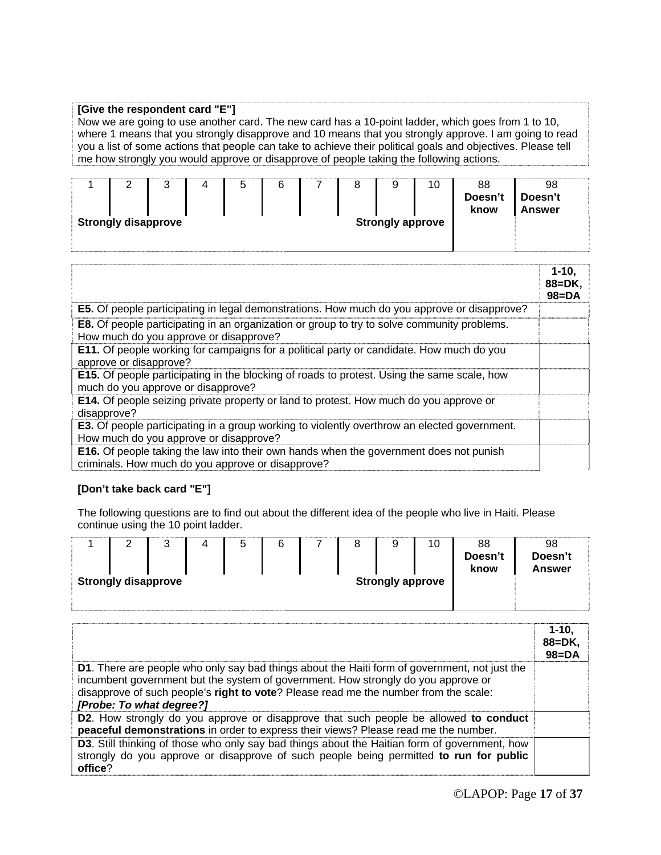#### **[Give the respondent card "E"]**

Now we are going to use another card. The new card has a 10-point ladder, which goes from 1 to 10, where 1 means that you strongly disapprove and 10 means that you strongly approve. I am going to read you a list of some actions that people can take to achieve their political goals and objectives. Please tell me how strongly you would approve or disapprove of people taking the following actions.

|                                                       |  | ີ |  | ∽<br>ບ | b |  |  | 9 | 10 | 88<br>Doesn't<br>know | 98<br>Doesn't<br><b>Answer</b> |  |
|-------------------------------------------------------|--|---|--|--------|---|--|--|---|----|-----------------------|--------------------------------|--|
| <b>Strongly disapprove</b><br><b>Strongly approve</b> |  |   |  |        |   |  |  |   |    |                       |                                |  |

|                                                                                                                                                    | 1-10.<br>88=DK,<br>$98 = DA$ |
|----------------------------------------------------------------------------------------------------------------------------------------------------|------------------------------|
| E5. Of people participating in legal demonstrations. How much do you approve or disapprove?                                                        |                              |
| <b>E8.</b> Of people participating in an organization or group to try to solve community problems.<br>How much do you approve or disapprove?       |                              |
| E11. Of people working for campaigns for a political party or candidate. How much do you<br>approve or disapprove?                                 |                              |
| <b>E15.</b> Of people participating in the blocking of roads to protest. Using the same scale, how<br>much do you approve or disapprove?           |                              |
| E14. Of people seizing private property or land to protest. How much do you approve or<br>disapprove?                                              |                              |
| <b>E3.</b> Of people participating in a group working to violently overthrow an elected government.<br>How much do you approve or disapprove?      |                              |
| <b>E16.</b> Of people taking the law into their own hands when the government does not punish<br>criminals. How much do you approve or disapprove? |                              |

#### **[Don't take back card "E"]**

The following questions are to find out about the different idea of the people who live in Haiti. Please continue using the 10 point ladder.

| ▃                          | ર<br>◡ | ∽<br>J | 6 |  | 9                       | 10 | 88<br>Doesn't<br>know | 98<br>Doesn't<br><b>Answer</b> |
|----------------------------|--------|--------|---|--|-------------------------|----|-----------------------|--------------------------------|
| <b>Strongly disapprove</b> |        |        |   |  | <b>Strongly approve</b> |    |                       |                                |

|                                                                                                                                                                                                                                                                                                               | $1 - 10.$<br>$88 = DK.$<br>$98 = DA$ |
|---------------------------------------------------------------------------------------------------------------------------------------------------------------------------------------------------------------------------------------------------------------------------------------------------------------|--------------------------------------|
| <b>D1.</b> There are people who only say bad things about the Haiti form of government, not just the<br>incumbent government but the system of government. How strongly do you approve or<br>disapprove of such people's right to vote? Please read me the number from the scale:<br>[Probe: To what degree?] |                                      |
| D2. How strongly do you approve or disapprove that such people be allowed to conduct<br>peaceful demonstrations in order to express their views? Please read me the number.                                                                                                                                   |                                      |
| D3. Still thinking of those who only say bad things about the Haitian form of government, how<br>strongly do you approve or disapprove of such people being permitted to run for public<br>office?                                                                                                            |                                      |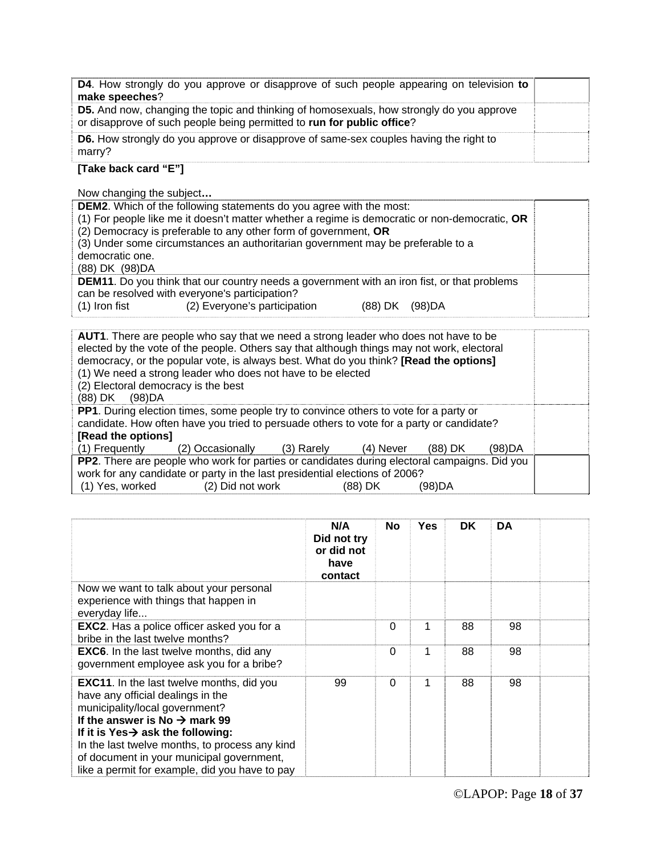| <b>D5.</b> And now, changing the topic and thinking of homosexuals, how strongly do you approve<br>or disapprove of such people being permitted to run for public office? |  |
|---------------------------------------------------------------------------------------------------------------------------------------------------------------------------|--|
| <b>D6.</b> How strongly do you approve or disapprove of same-sex couples having the right to<br>marry?                                                                    |  |

#### **[Take back card "E"]**

Now changing the subject**…** 

| <b>DEM2.</b> Which of the following statements do you agree with the most:<br>(1) For people like me it doesn't matter whether a regime is democratic or non-democratic, OR<br>(2) Democracy is preferable to any other form of government, OR<br>(3) Under some circumstances an authoritarian government may be preferable to a<br>democratic one.<br>(88) DK (98) DA |  |
|-------------------------------------------------------------------------------------------------------------------------------------------------------------------------------------------------------------------------------------------------------------------------------------------------------------------------------------------------------------------------|--|
| <b>DEM11.</b> Do you think that our country needs a government with an iron fist, or that problems<br>can be resolved with everyone's participation?<br>(2) Everyone's participation<br>$(1)$ Iron fist<br>(98)DA<br>(88) DK                                                                                                                                            |  |

| <b>AUT1</b> . There are people who say that we need a strong leader who does not have to be<br>elected by the vote of the people. Others say that although things may not work, electoral<br>democracy, or the popular vote, is always best. What do you think? [Read the options]<br>(1) We need a strong leader who does not have to be elected<br>(2) Electoral democracy is the best<br>(88) DK (98) DA |                             |  |           |         |        |  |  |
|-------------------------------------------------------------------------------------------------------------------------------------------------------------------------------------------------------------------------------------------------------------------------------------------------------------------------------------------------------------------------------------------------------------|-----------------------------|--|-----------|---------|--------|--|--|
| <b>PP1.</b> During election times, some people try to convince others to vote for a party or                                                                                                                                                                                                                                                                                                                |                             |  |           |         |        |  |  |
| candidate. How often have you tried to persuade others to vote for a party or candidate?<br>[Read the options]                                                                                                                                                                                                                                                                                              |                             |  |           |         |        |  |  |
|                                                                                                                                                                                                                                                                                                                                                                                                             |                             |  |           |         | (98)DA |  |  |
| (1) Frequently                                                                                                                                                                                                                                                                                                                                                                                              | (2) Occasionally (3) Rarely |  | (4) Never | (88) DK |        |  |  |
| PP2. There are people who work for parties or candidates during electoral campaigns. Did you                                                                                                                                                                                                                                                                                                                |                             |  |           |         |        |  |  |
| work for any candidate or party in the last presidential elections of 2006?                                                                                                                                                                                                                                                                                                                                 |                             |  |           |         |        |  |  |
| (1) Yes, worked                                                                                                                                                                                                                                                                                                                                                                                             | (2) Did not work            |  | (88) DK   | (98)DA  |        |  |  |

|                                                                                                                                                                                                                                                                                                                                                                        | N/A<br>Did not try<br>or did not<br>have<br>contact | <b>No</b> | Yes | <b>DK</b> | DA |  |
|------------------------------------------------------------------------------------------------------------------------------------------------------------------------------------------------------------------------------------------------------------------------------------------------------------------------------------------------------------------------|-----------------------------------------------------|-----------|-----|-----------|----|--|
| Now we want to talk about your personal<br>experience with things that happen in<br>everyday life                                                                                                                                                                                                                                                                      |                                                     |           |     |           |    |  |
| <b>EXC2.</b> Has a police officer asked you for a<br>bribe in the last twelve months?                                                                                                                                                                                                                                                                                  |                                                     | $\Omega$  | 1   | 88        | 98 |  |
| <b>EXC6.</b> In the last twelve months, did any<br>government employee ask you for a bribe?                                                                                                                                                                                                                                                                            |                                                     | $\Omega$  | 1   | 88        | 98 |  |
| <b>EXC11.</b> In the last twelve months, did you<br>have any official dealings in the<br>municipality/local government?<br>If the answer is No $\rightarrow$ mark 99<br>If it is Yes $\rightarrow$ ask the following:<br>In the last twelve months, to process any kind<br>of document in your municipal government,<br>like a permit for example, did you have to pay | 99                                                  | $\Omega$  | 1   | 88        | 98 |  |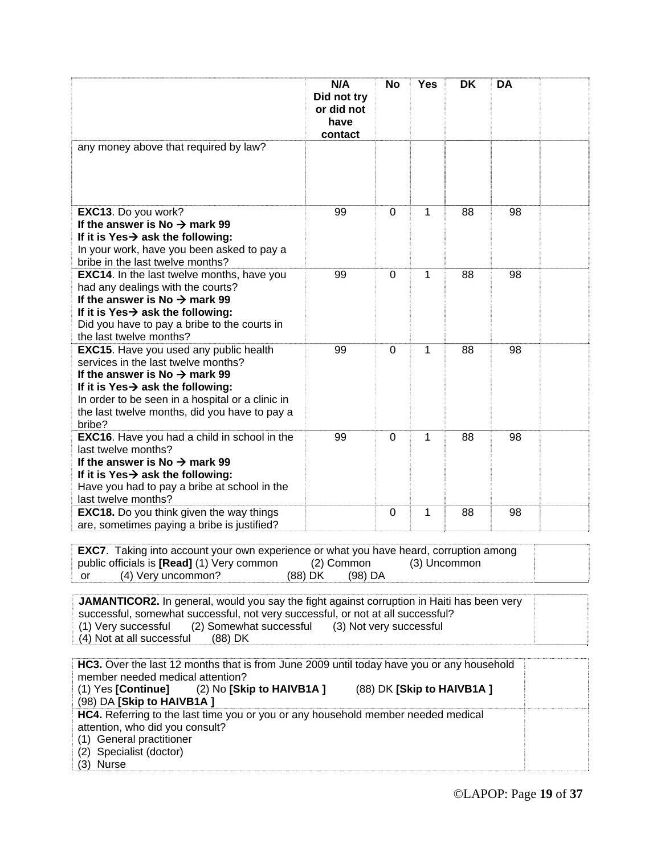|                                                                                                                                                                                                                                                                                                    | N/A<br>Did not try<br>or did not<br>have | <b>No</b>      | <b>Yes</b>   | DK | <b>DA</b> |  |  |  |
|----------------------------------------------------------------------------------------------------------------------------------------------------------------------------------------------------------------------------------------------------------------------------------------------------|------------------------------------------|----------------|--------------|----|-----------|--|--|--|
|                                                                                                                                                                                                                                                                                                    | contact                                  |                |              |    |           |  |  |  |
| any money above that required by law?                                                                                                                                                                                                                                                              |                                          |                |              |    |           |  |  |  |
| EXC13. Do you work?<br>If the answer is No $\rightarrow$ mark 99<br>If it is Yes $\rightarrow$ ask the following:<br>In your work, have you been asked to pay a<br>bribe in the last twelve months?                                                                                                | 99                                       | $\mathbf{0}$   | 1            | 88 | 98        |  |  |  |
| <b>EXC14.</b> In the last twelve months, have you<br>had any dealings with the courts?<br>If the answer is No $\rightarrow$ mark 99<br>If it is Yes $\rightarrow$ ask the following:<br>Did you have to pay a bribe to the courts in<br>the last twelve months?                                    | 99                                       | $\mathbf 0$    | 1            | 88 | 98        |  |  |  |
| EXC15. Have you used any public health<br>services in the last twelve months?<br>If the answer is No $\rightarrow$ mark 99<br>If it is Yes $\rightarrow$ ask the following:<br>In order to be seen in a hospital or a clinic in<br>the last twelve months, did you have to pay a<br>bribe?         | 99                                       | $\overline{0}$ | 1            | 88 | 98        |  |  |  |
| <b>EXC16.</b> Have you had a child in school in the<br>last twelve months?<br>If the answer is No $\rightarrow$ mark 99<br>If it is Yes $\rightarrow$ ask the following:<br>Have you had to pay a bribe at school in the<br>last twelve months?                                                    | 99                                       | $\Omega$       | 1            | 88 | 98        |  |  |  |
| <b>EXC18.</b> Do you think given the way things<br>are, sometimes paying a bribe is justified?                                                                                                                                                                                                     |                                          | $\mathbf 0$    | 1            | 88 | 98        |  |  |  |
| <b>EXC7.</b> Taking into account your own experience or what you have heard, corruption among<br>public officials is [Read] (1) Very common<br>(4) Very uncommon?<br>or                                                                                                                            | (2) Common<br>(88) DK<br>$(98)$ DA       |                | (3) Uncommon |    |           |  |  |  |
| JAMANTICOR2. In general, would you say the fight against corruption in Haiti has been very<br>successful, somewhat successful, not very successful, or not at all successful?<br>(2) Somewhat successful<br>(1) Very successful<br>(3) Not very successful<br>(4) Not at all successful<br>(88) DK |                                          |                |              |    |           |  |  |  |
| HC3. Over the last 12 months that is from June 2009 until today have you or any household<br>member needed medical attention?<br>(1) Yes [Continue]<br>(2) No [Skip to HAIVB1A]<br>(88) DK [Skip to HAIVB1A ]<br>(98) DA [Skip to HAIVB1A]                                                         |                                          |                |              |    |           |  |  |  |
| HC4. Referring to the last time you or you or any household member needed medical<br>attention, who did you consult?<br>(1) General practitioner<br>(2) Specialist (doctor)<br>(3) Nurse                                                                                                           |                                          |                |              |    |           |  |  |  |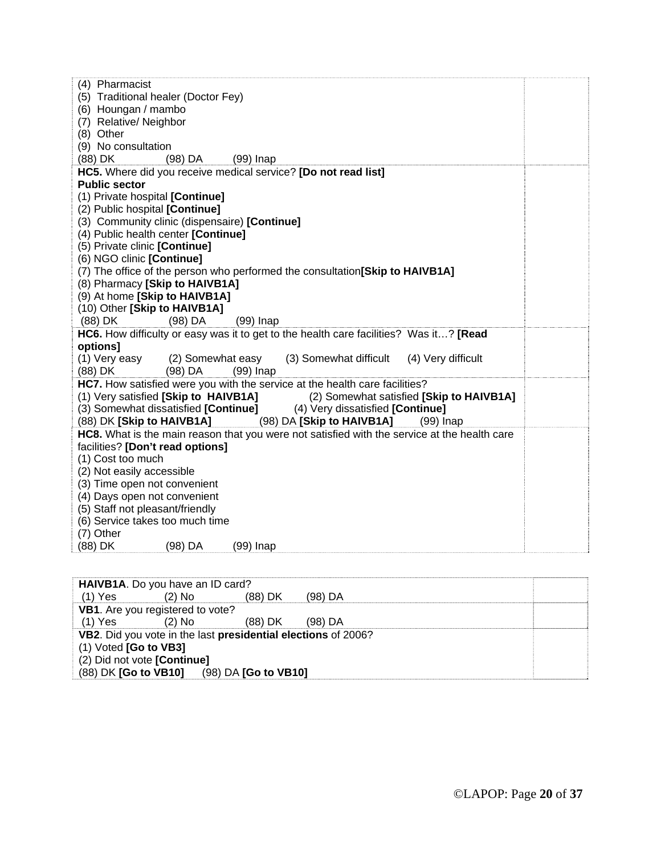| (4) Pharmacist                                                                                                                                 |  |
|------------------------------------------------------------------------------------------------------------------------------------------------|--|
| (5) Traditional healer (Doctor Fey)                                                                                                            |  |
| (6) Houngan / mambo                                                                                                                            |  |
| (7) Relative/Neighbor                                                                                                                          |  |
| (8) Other                                                                                                                                      |  |
| (9) No consultation                                                                                                                            |  |
| (88) DK<br>$(98)$ DA<br>$(99)$ Inap                                                                                                            |  |
| HC5. Where did you receive medical service? [Do not read list]                                                                                 |  |
| <b>Public sector</b>                                                                                                                           |  |
| (1) Private hospital [Continue]                                                                                                                |  |
| (2) Public hospital [Continue]                                                                                                                 |  |
| (3) Community clinic (dispensaire) [Continue]                                                                                                  |  |
| (4) Public health center [Continue]                                                                                                            |  |
| (5) Private clinic [Continue]                                                                                                                  |  |
| (6) NGO clinic [Continue]                                                                                                                      |  |
| (7) The office of the person who performed the consultation [Skip to HAIVB1A]                                                                  |  |
| (8) Pharmacy [Skip to HAIVB1A]                                                                                                                 |  |
| (9) At home [Skip to HAIVB1A]                                                                                                                  |  |
| (10) Other [Skip to HAIVB1A]                                                                                                                   |  |
| (88) DK<br>$(98)$ DA<br>$(99)$ Inap                                                                                                            |  |
| HC6. How difficulty or easy was it to get to the health care facilities? Was it? [Read                                                         |  |
| <b>options1</b>                                                                                                                                |  |
| (1) Very easy<br>(3) Somewhat difficult<br>(4) Very difficult<br>(2) Somewhat easy                                                             |  |
| (88) DK<br>$(99)$ Inap<br>$(98)$ DA                                                                                                            |  |
| HC7. How satisfied were you with the service at the health care facilities?                                                                    |  |
| (1) Very satisfied [Skip to HAIVB1A]<br>(2) Somewhat satisfied [Skip to HAIVB1A]                                                               |  |
| (3) Somewhat dissatisfied [Continue] (4) Very dissatisfied [Continue]<br>(88) DK [Skip to HAIVB1A]<br>(98) DA [Skip to HAIVB1A]<br>$(99)$ Inap |  |
| HC8. What is the main reason that you were not satisfied with the service at the health care                                                   |  |
| facilities? [Don't read options]                                                                                                               |  |
| (1) Cost too much                                                                                                                              |  |
| (2) Not easily accessible                                                                                                                      |  |
| (3) Time open not convenient                                                                                                                   |  |
| (4) Days open not convenient                                                                                                                   |  |
| (5) Staff not pleasant/friendly                                                                                                                |  |
| (6) Service takes too much time                                                                                                                |  |
| (7) Other                                                                                                                                      |  |
| (88) DK<br>(98) DA<br>$(99)$ Inap                                                                                                              |  |

| HAIVB1A. Do you have an ID card? |          |                                                               |         |
|----------------------------------|----------|---------------------------------------------------------------|---------|
| $(1)$ Yes                        | $(2)$ No | (88) DK                                                       | (98) DA |
| VB1. Are you registered to vote? |          |                                                               |         |
| $(1)$ Yes                        | $(2)$ No | (88) DK                                                       | (98) DA |
|                                  |          | VB2. Did you vote in the last presidential elections of 2006? |         |
| $(1)$ Voted [Go to VB3]          |          |                                                               |         |
| (2) Did not vote [Continue]      |          |                                                               |         |
|                                  |          | (88) DK [Go to VB10] (98) DA [Go to VB10]                     |         |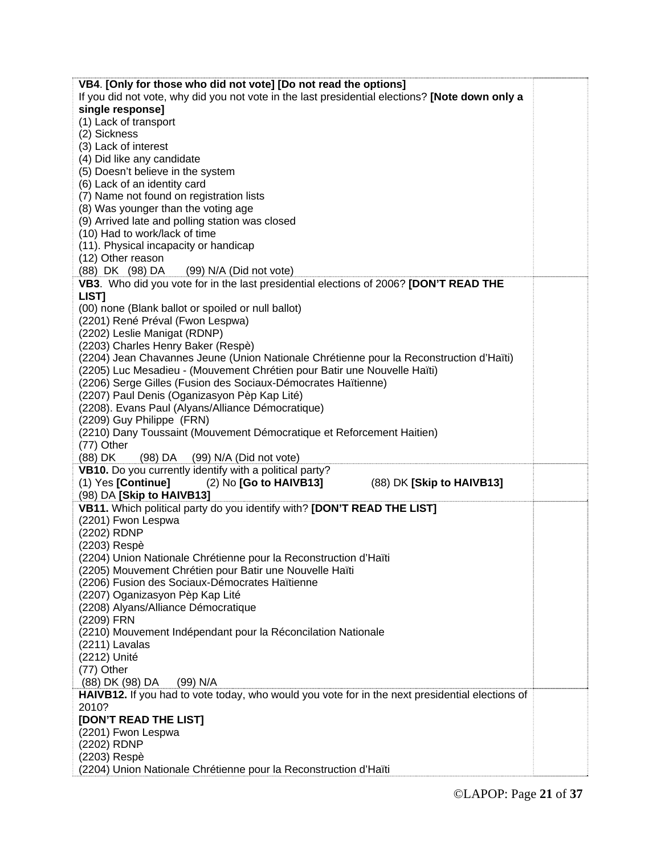| If you did not vote, why did you not vote in the last presidential elections? [Note down only a<br>single response]<br>(1) Lack of transport<br>(2) Sickness<br>(3) Lack of interest<br>(4) Did like any candidate<br>(5) Doesn't believe in the system<br>(6) Lack of an identity card<br>(7) Name not found on registration lists<br>(8) Was younger than the voting age<br>(9) Arrived late and polling station was closed<br>(10) Had to work/lack of time<br>(11). Physical incapacity or handicap<br>(12) Other reason<br>(88) DK (98) DA<br>(99) N/A (Did not vote)<br>VB3. Who did you vote for in the last presidential elections of 2006? [DON'T READ THE<br>LIST]<br>(00) none (Blank ballot or spoiled or null ballot)<br>(2201) René Préval (Fwon Lespwa)<br>(2202) Leslie Manigat (RDNP)<br>(2203) Charles Henry Baker (Respè)<br>(2204) Jean Chavannes Jeune (Union Nationale Chrétienne pour la Reconstruction d'Haïti)<br>(2205) Luc Mesadieu - (Mouvement Chrétien pour Batir une Nouvelle Haïti)<br>(2206) Serge Gilles (Fusion des Sociaux-Démocrates Haïtienne)<br>(2207) Paul Denis (Oganizasyon Pèp Kap Lité)<br>(2208). Evans Paul (Alyans/Alliance Démocratique)<br>(2209) Guy Philippe (FRN)<br>(2210) Dany Toussaint (Mouvement Démocratique et Reforcement Haitien)<br>(77) Other<br>(88) DK<br>(98) DA (99) N/A (Did not vote)<br>VB10. Do you currently identify with a political party?<br>(1) Yes [Continue]<br>(2) No [Go to HAIVB13]<br>(88) DK [Skip to HAIVB13]<br>(98) DA [Skip to HAIVB13]<br>VB11. Which political party do you identify with? [DON'T READ THE LIST]<br>(2201) Fwon Lespwa<br>(2202) RDNP<br>(2203) Respè<br>(2204) Union Nationale Chrétienne pour la Reconstruction d'Haïti<br>(2205) Mouvement Chrétien pour Batir une Nouvelle Haïti<br>(2206) Fusion des Sociaux-Démocrates Haïtienne<br>(2207) Oganizasyon Pèp Kap Lité<br>(2208) Alyans/Alliance Démocratique<br>(2209) FRN<br>(2210) Mouvement Indépendant pour la Réconcilation Nationale<br>(2211) Lavalas<br>(2212) Unité<br>(77) Other<br>(88) DK (98) DA<br>(99) N/A<br>HAIVB12. If you had to vote today, who would you vote for in the next presidential elections of<br>2010?<br>[DON'T READ THE LIST]<br>(2201) Fwon Lespwa<br>(2202) RDNP<br>(2203) Respè | VB4. [Only for those who did not vote] [Do not read the options] |
|------------------------------------------------------------------------------------------------------------------------------------------------------------------------------------------------------------------------------------------------------------------------------------------------------------------------------------------------------------------------------------------------------------------------------------------------------------------------------------------------------------------------------------------------------------------------------------------------------------------------------------------------------------------------------------------------------------------------------------------------------------------------------------------------------------------------------------------------------------------------------------------------------------------------------------------------------------------------------------------------------------------------------------------------------------------------------------------------------------------------------------------------------------------------------------------------------------------------------------------------------------------------------------------------------------------------------------------------------------------------------------------------------------------------------------------------------------------------------------------------------------------------------------------------------------------------------------------------------------------------------------------------------------------------------------------------------------------------------------------------------------------------------------------------------------------------------------------------------------------------------------------------------------------------------------------------------------------------------------------------------------------------------------------------------------------------------------------------------------------------------------------------------------------------------------------------------------------------------------------------------------------------------------|------------------------------------------------------------------|
|                                                                                                                                                                                                                                                                                                                                                                                                                                                                                                                                                                                                                                                                                                                                                                                                                                                                                                                                                                                                                                                                                                                                                                                                                                                                                                                                                                                                                                                                                                                                                                                                                                                                                                                                                                                                                                                                                                                                                                                                                                                                                                                                                                                                                                                                                    |                                                                  |
|                                                                                                                                                                                                                                                                                                                                                                                                                                                                                                                                                                                                                                                                                                                                                                                                                                                                                                                                                                                                                                                                                                                                                                                                                                                                                                                                                                                                                                                                                                                                                                                                                                                                                                                                                                                                                                                                                                                                                                                                                                                                                                                                                                                                                                                                                    |                                                                  |
|                                                                                                                                                                                                                                                                                                                                                                                                                                                                                                                                                                                                                                                                                                                                                                                                                                                                                                                                                                                                                                                                                                                                                                                                                                                                                                                                                                                                                                                                                                                                                                                                                                                                                                                                                                                                                                                                                                                                                                                                                                                                                                                                                                                                                                                                                    |                                                                  |
|                                                                                                                                                                                                                                                                                                                                                                                                                                                                                                                                                                                                                                                                                                                                                                                                                                                                                                                                                                                                                                                                                                                                                                                                                                                                                                                                                                                                                                                                                                                                                                                                                                                                                                                                                                                                                                                                                                                                                                                                                                                                                                                                                                                                                                                                                    |                                                                  |
|                                                                                                                                                                                                                                                                                                                                                                                                                                                                                                                                                                                                                                                                                                                                                                                                                                                                                                                                                                                                                                                                                                                                                                                                                                                                                                                                                                                                                                                                                                                                                                                                                                                                                                                                                                                                                                                                                                                                                                                                                                                                                                                                                                                                                                                                                    |                                                                  |
|                                                                                                                                                                                                                                                                                                                                                                                                                                                                                                                                                                                                                                                                                                                                                                                                                                                                                                                                                                                                                                                                                                                                                                                                                                                                                                                                                                                                                                                                                                                                                                                                                                                                                                                                                                                                                                                                                                                                                                                                                                                                                                                                                                                                                                                                                    |                                                                  |
|                                                                                                                                                                                                                                                                                                                                                                                                                                                                                                                                                                                                                                                                                                                                                                                                                                                                                                                                                                                                                                                                                                                                                                                                                                                                                                                                                                                                                                                                                                                                                                                                                                                                                                                                                                                                                                                                                                                                                                                                                                                                                                                                                                                                                                                                                    |                                                                  |
|                                                                                                                                                                                                                                                                                                                                                                                                                                                                                                                                                                                                                                                                                                                                                                                                                                                                                                                                                                                                                                                                                                                                                                                                                                                                                                                                                                                                                                                                                                                                                                                                                                                                                                                                                                                                                                                                                                                                                                                                                                                                                                                                                                                                                                                                                    |                                                                  |
|                                                                                                                                                                                                                                                                                                                                                                                                                                                                                                                                                                                                                                                                                                                                                                                                                                                                                                                                                                                                                                                                                                                                                                                                                                                                                                                                                                                                                                                                                                                                                                                                                                                                                                                                                                                                                                                                                                                                                                                                                                                                                                                                                                                                                                                                                    |                                                                  |
|                                                                                                                                                                                                                                                                                                                                                                                                                                                                                                                                                                                                                                                                                                                                                                                                                                                                                                                                                                                                                                                                                                                                                                                                                                                                                                                                                                                                                                                                                                                                                                                                                                                                                                                                                                                                                                                                                                                                                                                                                                                                                                                                                                                                                                                                                    |                                                                  |
|                                                                                                                                                                                                                                                                                                                                                                                                                                                                                                                                                                                                                                                                                                                                                                                                                                                                                                                                                                                                                                                                                                                                                                                                                                                                                                                                                                                                                                                                                                                                                                                                                                                                                                                                                                                                                                                                                                                                                                                                                                                                                                                                                                                                                                                                                    |                                                                  |
|                                                                                                                                                                                                                                                                                                                                                                                                                                                                                                                                                                                                                                                                                                                                                                                                                                                                                                                                                                                                                                                                                                                                                                                                                                                                                                                                                                                                                                                                                                                                                                                                                                                                                                                                                                                                                                                                                                                                                                                                                                                                                                                                                                                                                                                                                    |                                                                  |
|                                                                                                                                                                                                                                                                                                                                                                                                                                                                                                                                                                                                                                                                                                                                                                                                                                                                                                                                                                                                                                                                                                                                                                                                                                                                                                                                                                                                                                                                                                                                                                                                                                                                                                                                                                                                                                                                                                                                                                                                                                                                                                                                                                                                                                                                                    |                                                                  |
|                                                                                                                                                                                                                                                                                                                                                                                                                                                                                                                                                                                                                                                                                                                                                                                                                                                                                                                                                                                                                                                                                                                                                                                                                                                                                                                                                                                                                                                                                                                                                                                                                                                                                                                                                                                                                                                                                                                                                                                                                                                                                                                                                                                                                                                                                    |                                                                  |
|                                                                                                                                                                                                                                                                                                                                                                                                                                                                                                                                                                                                                                                                                                                                                                                                                                                                                                                                                                                                                                                                                                                                                                                                                                                                                                                                                                                                                                                                                                                                                                                                                                                                                                                                                                                                                                                                                                                                                                                                                                                                                                                                                                                                                                                                                    |                                                                  |
|                                                                                                                                                                                                                                                                                                                                                                                                                                                                                                                                                                                                                                                                                                                                                                                                                                                                                                                                                                                                                                                                                                                                                                                                                                                                                                                                                                                                                                                                                                                                                                                                                                                                                                                                                                                                                                                                                                                                                                                                                                                                                                                                                                                                                                                                                    |                                                                  |
|                                                                                                                                                                                                                                                                                                                                                                                                                                                                                                                                                                                                                                                                                                                                                                                                                                                                                                                                                                                                                                                                                                                                                                                                                                                                                                                                                                                                                                                                                                                                                                                                                                                                                                                                                                                                                                                                                                                                                                                                                                                                                                                                                                                                                                                                                    |                                                                  |
|                                                                                                                                                                                                                                                                                                                                                                                                                                                                                                                                                                                                                                                                                                                                                                                                                                                                                                                                                                                                                                                                                                                                                                                                                                                                                                                                                                                                                                                                                                                                                                                                                                                                                                                                                                                                                                                                                                                                                                                                                                                                                                                                                                                                                                                                                    |                                                                  |
|                                                                                                                                                                                                                                                                                                                                                                                                                                                                                                                                                                                                                                                                                                                                                                                                                                                                                                                                                                                                                                                                                                                                                                                                                                                                                                                                                                                                                                                                                                                                                                                                                                                                                                                                                                                                                                                                                                                                                                                                                                                                                                                                                                                                                                                                                    |                                                                  |
|                                                                                                                                                                                                                                                                                                                                                                                                                                                                                                                                                                                                                                                                                                                                                                                                                                                                                                                                                                                                                                                                                                                                                                                                                                                                                                                                                                                                                                                                                                                                                                                                                                                                                                                                                                                                                                                                                                                                                                                                                                                                                                                                                                                                                                                                                    |                                                                  |
|                                                                                                                                                                                                                                                                                                                                                                                                                                                                                                                                                                                                                                                                                                                                                                                                                                                                                                                                                                                                                                                                                                                                                                                                                                                                                                                                                                                                                                                                                                                                                                                                                                                                                                                                                                                                                                                                                                                                                                                                                                                                                                                                                                                                                                                                                    |                                                                  |
|                                                                                                                                                                                                                                                                                                                                                                                                                                                                                                                                                                                                                                                                                                                                                                                                                                                                                                                                                                                                                                                                                                                                                                                                                                                                                                                                                                                                                                                                                                                                                                                                                                                                                                                                                                                                                                                                                                                                                                                                                                                                                                                                                                                                                                                                                    |                                                                  |
|                                                                                                                                                                                                                                                                                                                                                                                                                                                                                                                                                                                                                                                                                                                                                                                                                                                                                                                                                                                                                                                                                                                                                                                                                                                                                                                                                                                                                                                                                                                                                                                                                                                                                                                                                                                                                                                                                                                                                                                                                                                                                                                                                                                                                                                                                    |                                                                  |
|                                                                                                                                                                                                                                                                                                                                                                                                                                                                                                                                                                                                                                                                                                                                                                                                                                                                                                                                                                                                                                                                                                                                                                                                                                                                                                                                                                                                                                                                                                                                                                                                                                                                                                                                                                                                                                                                                                                                                                                                                                                                                                                                                                                                                                                                                    |                                                                  |
|                                                                                                                                                                                                                                                                                                                                                                                                                                                                                                                                                                                                                                                                                                                                                                                                                                                                                                                                                                                                                                                                                                                                                                                                                                                                                                                                                                                                                                                                                                                                                                                                                                                                                                                                                                                                                                                                                                                                                                                                                                                                                                                                                                                                                                                                                    |                                                                  |
|                                                                                                                                                                                                                                                                                                                                                                                                                                                                                                                                                                                                                                                                                                                                                                                                                                                                                                                                                                                                                                                                                                                                                                                                                                                                                                                                                                                                                                                                                                                                                                                                                                                                                                                                                                                                                                                                                                                                                                                                                                                                                                                                                                                                                                                                                    |                                                                  |
|                                                                                                                                                                                                                                                                                                                                                                                                                                                                                                                                                                                                                                                                                                                                                                                                                                                                                                                                                                                                                                                                                                                                                                                                                                                                                                                                                                                                                                                                                                                                                                                                                                                                                                                                                                                                                                                                                                                                                                                                                                                                                                                                                                                                                                                                                    |                                                                  |
|                                                                                                                                                                                                                                                                                                                                                                                                                                                                                                                                                                                                                                                                                                                                                                                                                                                                                                                                                                                                                                                                                                                                                                                                                                                                                                                                                                                                                                                                                                                                                                                                                                                                                                                                                                                                                                                                                                                                                                                                                                                                                                                                                                                                                                                                                    |                                                                  |
|                                                                                                                                                                                                                                                                                                                                                                                                                                                                                                                                                                                                                                                                                                                                                                                                                                                                                                                                                                                                                                                                                                                                                                                                                                                                                                                                                                                                                                                                                                                                                                                                                                                                                                                                                                                                                                                                                                                                                                                                                                                                                                                                                                                                                                                                                    |                                                                  |
|                                                                                                                                                                                                                                                                                                                                                                                                                                                                                                                                                                                                                                                                                                                                                                                                                                                                                                                                                                                                                                                                                                                                                                                                                                                                                                                                                                                                                                                                                                                                                                                                                                                                                                                                                                                                                                                                                                                                                                                                                                                                                                                                                                                                                                                                                    |                                                                  |
|                                                                                                                                                                                                                                                                                                                                                                                                                                                                                                                                                                                                                                                                                                                                                                                                                                                                                                                                                                                                                                                                                                                                                                                                                                                                                                                                                                                                                                                                                                                                                                                                                                                                                                                                                                                                                                                                                                                                                                                                                                                                                                                                                                                                                                                                                    |                                                                  |
|                                                                                                                                                                                                                                                                                                                                                                                                                                                                                                                                                                                                                                                                                                                                                                                                                                                                                                                                                                                                                                                                                                                                                                                                                                                                                                                                                                                                                                                                                                                                                                                                                                                                                                                                                                                                                                                                                                                                                                                                                                                                                                                                                                                                                                                                                    |                                                                  |
|                                                                                                                                                                                                                                                                                                                                                                                                                                                                                                                                                                                                                                                                                                                                                                                                                                                                                                                                                                                                                                                                                                                                                                                                                                                                                                                                                                                                                                                                                                                                                                                                                                                                                                                                                                                                                                                                                                                                                                                                                                                                                                                                                                                                                                                                                    |                                                                  |
|                                                                                                                                                                                                                                                                                                                                                                                                                                                                                                                                                                                                                                                                                                                                                                                                                                                                                                                                                                                                                                                                                                                                                                                                                                                                                                                                                                                                                                                                                                                                                                                                                                                                                                                                                                                                                                                                                                                                                                                                                                                                                                                                                                                                                                                                                    |                                                                  |
|                                                                                                                                                                                                                                                                                                                                                                                                                                                                                                                                                                                                                                                                                                                                                                                                                                                                                                                                                                                                                                                                                                                                                                                                                                                                                                                                                                                                                                                                                                                                                                                                                                                                                                                                                                                                                                                                                                                                                                                                                                                                                                                                                                                                                                                                                    |                                                                  |
|                                                                                                                                                                                                                                                                                                                                                                                                                                                                                                                                                                                                                                                                                                                                                                                                                                                                                                                                                                                                                                                                                                                                                                                                                                                                                                                                                                                                                                                                                                                                                                                                                                                                                                                                                                                                                                                                                                                                                                                                                                                                                                                                                                                                                                                                                    |                                                                  |
|                                                                                                                                                                                                                                                                                                                                                                                                                                                                                                                                                                                                                                                                                                                                                                                                                                                                                                                                                                                                                                                                                                                                                                                                                                                                                                                                                                                                                                                                                                                                                                                                                                                                                                                                                                                                                                                                                                                                                                                                                                                                                                                                                                                                                                                                                    |                                                                  |
|                                                                                                                                                                                                                                                                                                                                                                                                                                                                                                                                                                                                                                                                                                                                                                                                                                                                                                                                                                                                                                                                                                                                                                                                                                                                                                                                                                                                                                                                                                                                                                                                                                                                                                                                                                                                                                                                                                                                                                                                                                                                                                                                                                                                                                                                                    |                                                                  |
|                                                                                                                                                                                                                                                                                                                                                                                                                                                                                                                                                                                                                                                                                                                                                                                                                                                                                                                                                                                                                                                                                                                                                                                                                                                                                                                                                                                                                                                                                                                                                                                                                                                                                                                                                                                                                                                                                                                                                                                                                                                                                                                                                                                                                                                                                    |                                                                  |
|                                                                                                                                                                                                                                                                                                                                                                                                                                                                                                                                                                                                                                                                                                                                                                                                                                                                                                                                                                                                                                                                                                                                                                                                                                                                                                                                                                                                                                                                                                                                                                                                                                                                                                                                                                                                                                                                                                                                                                                                                                                                                                                                                                                                                                                                                    |                                                                  |
|                                                                                                                                                                                                                                                                                                                                                                                                                                                                                                                                                                                                                                                                                                                                                                                                                                                                                                                                                                                                                                                                                                                                                                                                                                                                                                                                                                                                                                                                                                                                                                                                                                                                                                                                                                                                                                                                                                                                                                                                                                                                                                                                                                                                                                                                                    |                                                                  |
|                                                                                                                                                                                                                                                                                                                                                                                                                                                                                                                                                                                                                                                                                                                                                                                                                                                                                                                                                                                                                                                                                                                                                                                                                                                                                                                                                                                                                                                                                                                                                                                                                                                                                                                                                                                                                                                                                                                                                                                                                                                                                                                                                                                                                                                                                    |                                                                  |
|                                                                                                                                                                                                                                                                                                                                                                                                                                                                                                                                                                                                                                                                                                                                                                                                                                                                                                                                                                                                                                                                                                                                                                                                                                                                                                                                                                                                                                                                                                                                                                                                                                                                                                                                                                                                                                                                                                                                                                                                                                                                                                                                                                                                                                                                                    |                                                                  |
|                                                                                                                                                                                                                                                                                                                                                                                                                                                                                                                                                                                                                                                                                                                                                                                                                                                                                                                                                                                                                                                                                                                                                                                                                                                                                                                                                                                                                                                                                                                                                                                                                                                                                                                                                                                                                                                                                                                                                                                                                                                                                                                                                                                                                                                                                    |                                                                  |
|                                                                                                                                                                                                                                                                                                                                                                                                                                                                                                                                                                                                                                                                                                                                                                                                                                                                                                                                                                                                                                                                                                                                                                                                                                                                                                                                                                                                                                                                                                                                                                                                                                                                                                                                                                                                                                                                                                                                                                                                                                                                                                                                                                                                                                                                                    |                                                                  |
|                                                                                                                                                                                                                                                                                                                                                                                                                                                                                                                                                                                                                                                                                                                                                                                                                                                                                                                                                                                                                                                                                                                                                                                                                                                                                                                                                                                                                                                                                                                                                                                                                                                                                                                                                                                                                                                                                                                                                                                                                                                                                                                                                                                                                                                                                    |                                                                  |
|                                                                                                                                                                                                                                                                                                                                                                                                                                                                                                                                                                                                                                                                                                                                                                                                                                                                                                                                                                                                                                                                                                                                                                                                                                                                                                                                                                                                                                                                                                                                                                                                                                                                                                                                                                                                                                                                                                                                                                                                                                                                                                                                                                                                                                                                                    |                                                                  |
|                                                                                                                                                                                                                                                                                                                                                                                                                                                                                                                                                                                                                                                                                                                                                                                                                                                                                                                                                                                                                                                                                                                                                                                                                                                                                                                                                                                                                                                                                                                                                                                                                                                                                                                                                                                                                                                                                                                                                                                                                                                                                                                                                                                                                                                                                    |                                                                  |
|                                                                                                                                                                                                                                                                                                                                                                                                                                                                                                                                                                                                                                                                                                                                                                                                                                                                                                                                                                                                                                                                                                                                                                                                                                                                                                                                                                                                                                                                                                                                                                                                                                                                                                                                                                                                                                                                                                                                                                                                                                                                                                                                                                                                                                                                                    |                                                                  |
|                                                                                                                                                                                                                                                                                                                                                                                                                                                                                                                                                                                                                                                                                                                                                                                                                                                                                                                                                                                                                                                                                                                                                                                                                                                                                                                                                                                                                                                                                                                                                                                                                                                                                                                                                                                                                                                                                                                                                                                                                                                                                                                                                                                                                                                                                    |                                                                  |
|                                                                                                                                                                                                                                                                                                                                                                                                                                                                                                                                                                                                                                                                                                                                                                                                                                                                                                                                                                                                                                                                                                                                                                                                                                                                                                                                                                                                                                                                                                                                                                                                                                                                                                                                                                                                                                                                                                                                                                                                                                                                                                                                                                                                                                                                                    |                                                                  |
|                                                                                                                                                                                                                                                                                                                                                                                                                                                                                                                                                                                                                                                                                                                                                                                                                                                                                                                                                                                                                                                                                                                                                                                                                                                                                                                                                                                                                                                                                                                                                                                                                                                                                                                                                                                                                                                                                                                                                                                                                                                                                                                                                                                                                                                                                    |                                                                  |
|                                                                                                                                                                                                                                                                                                                                                                                                                                                                                                                                                                                                                                                                                                                                                                                                                                                                                                                                                                                                                                                                                                                                                                                                                                                                                                                                                                                                                                                                                                                                                                                                                                                                                                                                                                                                                                                                                                                                                                                                                                                                                                                                                                                                                                                                                    |                                                                  |
|                                                                                                                                                                                                                                                                                                                                                                                                                                                                                                                                                                                                                                                                                                                                                                                                                                                                                                                                                                                                                                                                                                                                                                                                                                                                                                                                                                                                                                                                                                                                                                                                                                                                                                                                                                                                                                                                                                                                                                                                                                                                                                                                                                                                                                                                                    |                                                                  |
|                                                                                                                                                                                                                                                                                                                                                                                                                                                                                                                                                                                                                                                                                                                                                                                                                                                                                                                                                                                                                                                                                                                                                                                                                                                                                                                                                                                                                                                                                                                                                                                                                                                                                                                                                                                                                                                                                                                                                                                                                                                                                                                                                                                                                                                                                    | (2204) Union Nationale Chrétienne pour la Reconstruction d'Haïti |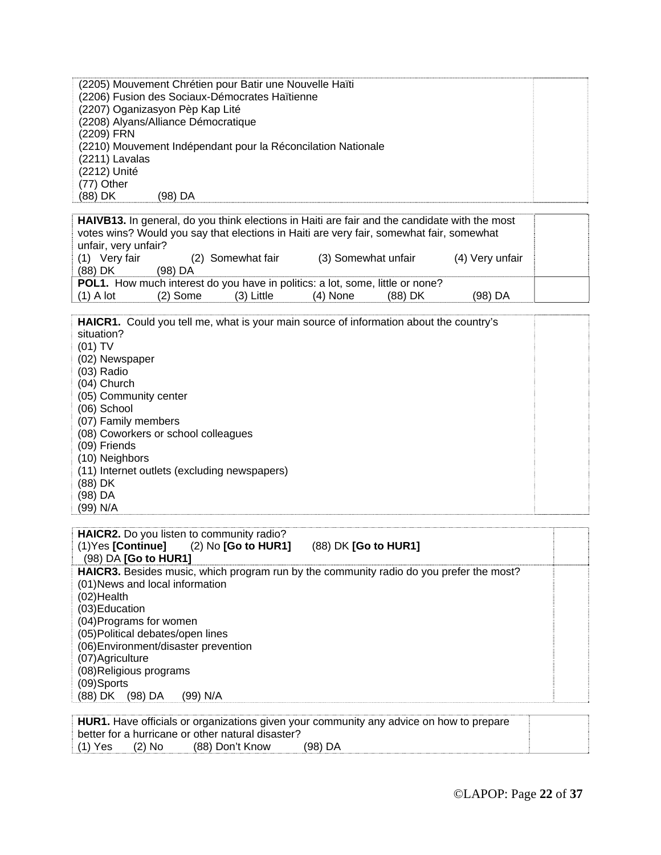| (2205) Mouvement Chrétien pour Batir une Nouvelle Haïti      |  |
|--------------------------------------------------------------|--|
| (2206) Fusion des Sociaux-Démocrates Haïtienne               |  |
| (2207) Oganizasyon Pèp Kap Lité                              |  |
| (2208) Alyans/Alliance Démocratique                          |  |
| (2209) FRN                                                   |  |
| (2210) Mouvement Indépendant pour la Réconcilation Nationale |  |
| (2211) Lavalas                                               |  |
| (2212) Unité                                                 |  |
| (77) Other                                                   |  |
| (88) DK<br>(98) DA                                           |  |

| <b>HAIVB13.</b> In general, do you think elections in Haiti are fair and the candidate with the most<br>votes wins? Would you say that elections in Haiti are very fair, somewhat fair, somewhat |            |                   |                     |           |                 |  |
|--------------------------------------------------------------------------------------------------------------------------------------------------------------------------------------------------|------------|-------------------|---------------------|-----------|-----------------|--|
| unfair, very unfair?                                                                                                                                                                             |            |                   |                     |           |                 |  |
| (1) Very fair                                                                                                                                                                                    |            | (2) Somewhat fair | (3) Somewhat unfair |           | (4) Very unfair |  |
| (88) DK                                                                                                                                                                                          | $(98)$ DA  |                   |                     |           |                 |  |
| POL1. How much interest do you have in politics: a lot, some, little or none?                                                                                                                    |            |                   |                     |           |                 |  |
| $(1)$ A lot                                                                                                                                                                                      | $(2)$ Some | $(3)$ Little      | $(4)$ None          | $(88)$ DK | (98) DA         |  |

**HAICR1.** Could you tell me, what is your main source of information about the country's situation? (01) TV (02) Newspaper (03) Radio

- (04) Church
- 
- (05) Community center
- (06) School
- (07) Family members
- (08) Coworkers or school colleagues
- (09) Friends
- (10) Neighbors
- (11) Internet outlets (excluding newspapers)
- (88) DK
- (98) DA
- (99) N/A

| HAICR2. Do you listen to community radio?<br>$(1)$ Yes [Continue] $(2)$ No [Go to HUR1]<br>(88) DK [Go to HUR1]<br>(98) DA [Go to HUR1] |  |
|-----------------------------------------------------------------------------------------------------------------------------------------|--|
| <b>HAICR3.</b> Besides music, which program run by the community radio do you prefer the most?                                          |  |
| (01) News and local information                                                                                                         |  |
| $(02)$ Health                                                                                                                           |  |
| (03) Education                                                                                                                          |  |
| (04) Programs for women                                                                                                                 |  |
| (05) Political debates/open lines                                                                                                       |  |
| (06) Environment/disaster prevention                                                                                                    |  |
| (07) Agriculture                                                                                                                        |  |
| (08) Religious programs                                                                                                                 |  |
| (09)Sports                                                                                                                              |  |
| (88) DK (98) DA<br>(99) N/A                                                                                                             |  |

|           |          |                                                   | HUR1. Have officials or organizations given your community any advice on how to prepare |
|-----------|----------|---------------------------------------------------|-----------------------------------------------------------------------------------------|
|           |          | better for a hurricane or other natural disaster? |                                                                                         |
| $(1)$ Yes | $(2)$ No | (88) Don't Know                                   | $(98)$ DA                                                                               |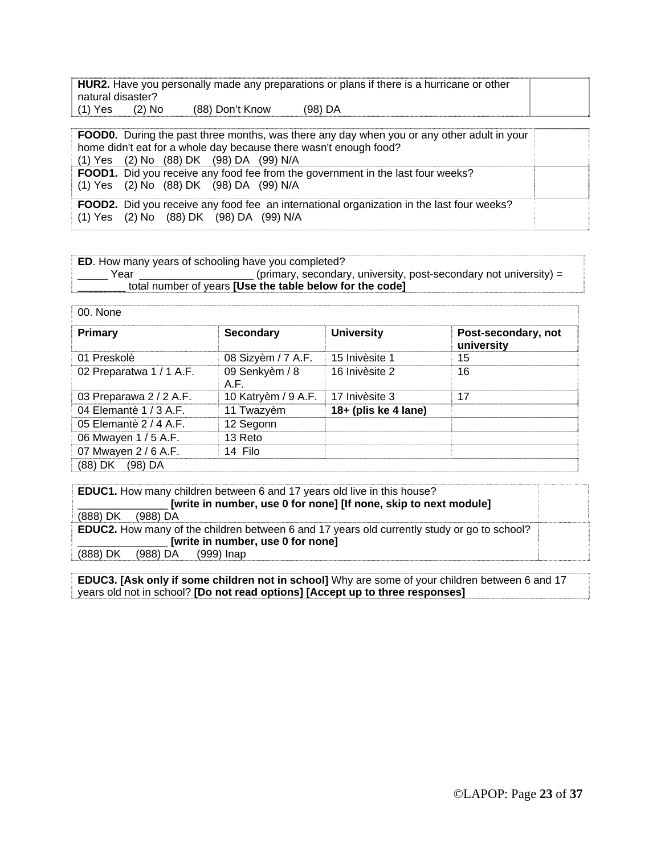| HUR2. Have you personally made any preparations or plans if there is a hurricane or other |          |                 |         |  |  |
|-------------------------------------------------------------------------------------------|----------|-----------------|---------|--|--|
| natural disaster?                                                                         |          |                 |         |  |  |
| $(1)$ Yes                                                                                 | $(2)$ No | (88) Don't Know | (98) DA |  |  |

**FOOD0.** During the past three months, was there any day when you or any other adult in your home didn't eat for a whole day because there wasn't enough food? (1) Yes (2) No (88) DK (98) DA(99) N/A **FOOD1.** Did you receive any food fee from the government in the last four weeks? (1) Yes (2) No (88) DK (98) DA(99) N/A **FOOD2.** Did you receive any food fee an international organization in the last four weeks? (1) Yes (2) No (88) DK (98) DA (99) N/A

| <b>ED.</b> How many years of schooling have you completed? |                                                                   |
|------------------------------------------------------------|-------------------------------------------------------------------|
| Year                                                       | (primary, secondary, university, post-secondary not university) = |
|                                                            | total number of years <b>[Use the table below for the code]</b>   |

| 00. None                 |                        |                      |                                   |
|--------------------------|------------------------|----------------------|-----------------------------------|
| <b>Primary</b>           | <b>Secondary</b>       | <b>University</b>    | Post-secondary, not<br>university |
| 01 Preskolè              | 08 Sizyèm / 7 A.F.     | 15 Inivèsite 1       | 15                                |
| 02 Preparatwa 1 / 1 A.F. | 09 Senkyèm / 8<br>A.F. | 16 Inivèsite 2       | 16                                |
| 03 Preparawa 2 / 2 A.F.  | 10 Katryèm / 9 A.F.    | 17 Inivèsite 3       | 17                                |
| 04 Elemantè 1 / 3 A.F.   | 11 Twazyèm             | 18+ (plis ke 4 lane) |                                   |
| 05 Elemantè 2 / 4 A.F.   | 12 Segonn              |                      |                                   |
| 06 Mwayen 1 / 5 A.F.     | 13 Reto                |                      |                                   |
| 07 Mwayen 2 / 6 A.F.     | 14 Filo                |                      |                                   |
| (88) DK<br>$(98)$ DA     |                        |                      |                                   |

| <b>EDUC1.</b> How many children between 6 and 17 years old live in this house?                     |  |
|----------------------------------------------------------------------------------------------------|--|
| [write in number, use 0 for none] [If none, skip to next module]                                   |  |
| (888) DK<br>(988) DA                                                                               |  |
| <b>EDUC2.</b> How many of the children between 6 and 17 years old currently study or go to school? |  |
| [write in number, use 0 for none]                                                                  |  |
| (888) DK<br>(988) DA<br>(999) Inap                                                                 |  |

**EDUC3. [Ask only if some children not in school]** Why are some of your children between 6 and 17 years old not in school? **[Do not read options] [Accept up to three responses]**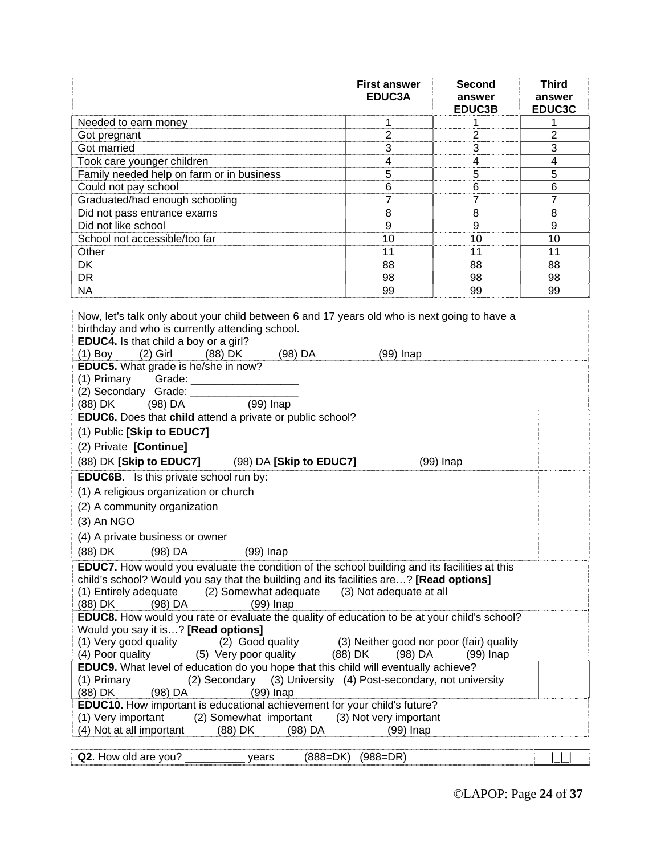|                                                                                                                                                                                                                                                                                                                                                                                                                                                                                                                                                                                                                                                                                                                   | <b>First answer</b><br>EDUC3A                                               | <b>Second</b><br>answer | <b>Third</b><br>answer |  |
|-------------------------------------------------------------------------------------------------------------------------------------------------------------------------------------------------------------------------------------------------------------------------------------------------------------------------------------------------------------------------------------------------------------------------------------------------------------------------------------------------------------------------------------------------------------------------------------------------------------------------------------------------------------------------------------------------------------------|-----------------------------------------------------------------------------|-------------------------|------------------------|--|
|                                                                                                                                                                                                                                                                                                                                                                                                                                                                                                                                                                                                                                                                                                                   |                                                                             | EDUC3B                  | EDUC3C                 |  |
| Needed to earn money                                                                                                                                                                                                                                                                                                                                                                                                                                                                                                                                                                                                                                                                                              | 1                                                                           | 1                       | 1                      |  |
| Got pregnant                                                                                                                                                                                                                                                                                                                                                                                                                                                                                                                                                                                                                                                                                                      | $\overline{2}$                                                              | 2                       | $\overline{2}$         |  |
| Got married                                                                                                                                                                                                                                                                                                                                                                                                                                                                                                                                                                                                                                                                                                       | 3                                                                           | 3                       | 3                      |  |
| Took care younger children                                                                                                                                                                                                                                                                                                                                                                                                                                                                                                                                                                                                                                                                                        | 4                                                                           | 4                       | 4                      |  |
| Family needed help on farm or in business                                                                                                                                                                                                                                                                                                                                                                                                                                                                                                                                                                                                                                                                         | 5                                                                           | 5                       | 5                      |  |
| Could not pay school                                                                                                                                                                                                                                                                                                                                                                                                                                                                                                                                                                                                                                                                                              | 6<br>$\overline{7}$                                                         | 6<br>$\overline{7}$     | 6<br>$\overline{7}$    |  |
| Graduated/had enough schooling<br>Did not pass entrance exams                                                                                                                                                                                                                                                                                                                                                                                                                                                                                                                                                                                                                                                     | 8                                                                           | 8                       | 8                      |  |
| Did not like school                                                                                                                                                                                                                                                                                                                                                                                                                                                                                                                                                                                                                                                                                               | 9                                                                           | 9                       | 9                      |  |
| School not accessible/too far                                                                                                                                                                                                                                                                                                                                                                                                                                                                                                                                                                                                                                                                                     | 10                                                                          | 10                      | 10                     |  |
| Other                                                                                                                                                                                                                                                                                                                                                                                                                                                                                                                                                                                                                                                                                                             | 11                                                                          | 11                      | 11                     |  |
| <b>DK</b>                                                                                                                                                                                                                                                                                                                                                                                                                                                                                                                                                                                                                                                                                                         | 88                                                                          | 88                      | 88                     |  |
| <b>DR</b>                                                                                                                                                                                                                                                                                                                                                                                                                                                                                                                                                                                                                                                                                                         | 98                                                                          | 98                      | 98                     |  |
| <b>NA</b>                                                                                                                                                                                                                                                                                                                                                                                                                                                                                                                                                                                                                                                                                                         | 99                                                                          | 99                      | 99                     |  |
|                                                                                                                                                                                                                                                                                                                                                                                                                                                                                                                                                                                                                                                                                                                   |                                                                             |                         |                        |  |
| Now, let's talk only about your child between 6 and 17 years old who is next going to have a<br>birthday and who is currently attending school.<br>EDUC4. Is that child a boy or a girl?<br>$(1)$ Boy<br>(2) Girl<br>(88) DK<br>(98) DA<br>$(99)$ Inap<br>EDUC5. What grade is he/she in now?<br>$(1)$ Primary Grade: $\sqrt{2}$<br>(2) Secondary Grade: ________<br>(98) DA<br>$(99)$ Inap<br>(88) DK<br>EDUC6. Does that child attend a private or public school?<br>(1) Public [Skip to EDUC7]<br>(2) Private [Continue]<br>(88) DK [Skip to EDUC7] (98) DA [Skip to EDUC7]<br>$(99)$ Inap<br>EDUC6B. Is this private school run by:<br>(1) A religious organization or church<br>(2) A community organization |                                                                             |                         |                        |  |
| $(3)$ An NGO                                                                                                                                                                                                                                                                                                                                                                                                                                                                                                                                                                                                                                                                                                      |                                                                             |                         |                        |  |
| (4) A private business or owner                                                                                                                                                                                                                                                                                                                                                                                                                                                                                                                                                                                                                                                                                   |                                                                             |                         |                        |  |
| (88) DK<br>(98) DA<br>$(99)$ Inap                                                                                                                                                                                                                                                                                                                                                                                                                                                                                                                                                                                                                                                                                 |                                                                             |                         |                        |  |
| <b>EDUC7.</b> How would you evaluate the condition of the school building and its facilities at this<br>child's school? Would you say that the building and its facilities are? [Read options]<br>(1) Entirely adequate<br>(2) Somewhat adequate<br>(3) Not adequate at all<br>(88) DK<br>(98) DA<br>$(99)$ Inap<br>EDUC8. How would you rate or evaluate the quality of education to be at your child's school?<br>Would you say it is? [Read options]<br>(2) Good quality<br>(1) Very good quality<br>(3) Neither good nor poor (fair) quality<br>(4) Poor quality<br>(5) Very poor quality<br>(88) DK<br>(98) DA<br>$(99)$ Inap                                                                                |                                                                             |                         |                        |  |
| <b>EDUC9.</b> What level of education do you hope that this child will eventually achieve?<br>(1) Primary<br>(2) Secondary<br>(98) DA<br>(88) DK<br>$(99)$ Inap<br>EDUC10. How important is educational achievement for your child's future?<br>(1) Very important<br>(2) Somewhat important                                                                                                                                                                                                                                                                                                                                                                                                                      | (3) University (4) Post-secondary, not university<br>(3) Not very important |                         |                        |  |
| (4) Not at all important<br>(88) DK<br>(98) DA                                                                                                                                                                                                                                                                                                                                                                                                                                                                                                                                                                                                                                                                    | (99) Inap                                                                   |                         |                        |  |

|--|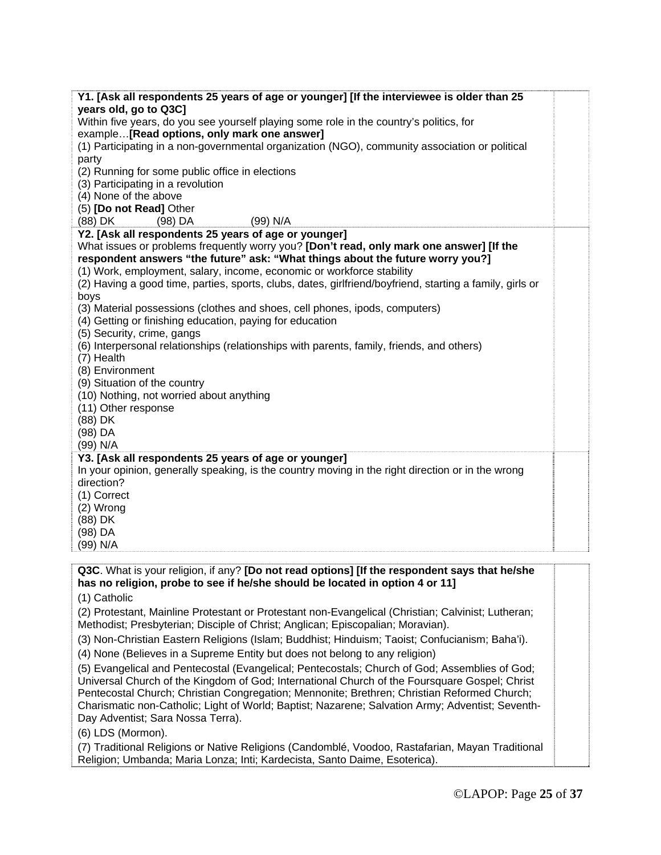| Y1. [Ask all respondents 25 years of age or younger] [If the interviewee is older than 25                        |  |
|------------------------------------------------------------------------------------------------------------------|--|
| years old, go to Q3C]<br>Within five years, do you see yourself playing some role in the country's politics, for |  |
| example[Read options, only mark one answer]                                                                      |  |
| (1) Participating in a non-governmental organization (NGO), community association or political                   |  |
| party                                                                                                            |  |
| (2) Running for some public office in elections                                                                  |  |
| (3) Participating in a revolution                                                                                |  |
| (4) None of the above                                                                                            |  |
| (5) [Do not Read] Other                                                                                          |  |
| (99) N/A<br>(88) DK<br>$(98)$ DA                                                                                 |  |
| Y2. [Ask all respondents 25 years of age or younger]                                                             |  |
| What issues or problems frequently worry you? [Don't read, only mark one answer] [If the                         |  |
| respondent answers "the future" ask: "What things about the future worry you?]                                   |  |
| (1) Work, employment, salary, income, economic or workforce stability                                            |  |
| (2) Having a good time, parties, sports, clubs, dates, girlfriend/boyfriend, starting a family, girls or         |  |
| boys                                                                                                             |  |
| (3) Material possessions (clothes and shoes, cell phones, ipods, computers)                                      |  |
| (4) Getting or finishing education, paying for education                                                         |  |
| (5) Security, crime, gangs                                                                                       |  |
| (6) Interpersonal relationships (relationships with parents, family, friends, and others)                        |  |
| (7) Health                                                                                                       |  |
| (8) Environment                                                                                                  |  |
| (9) Situation of the country                                                                                     |  |
| (10) Nothing, not worried about anything                                                                         |  |
| (11) Other response                                                                                              |  |
| (88) DK                                                                                                          |  |
| (98) DA                                                                                                          |  |
| (99) N/A                                                                                                         |  |
| Y3. [Ask all respondents 25 years of age or younger]                                                             |  |
| In your opinion, generally speaking, is the country moving in the right direction or in the wrong                |  |
| direction?                                                                                                       |  |
| (1) Correct                                                                                                      |  |
| (2) Wrong                                                                                                        |  |
| (88) DK                                                                                                          |  |
| (98) DA                                                                                                          |  |
| (99) N/A                                                                                                         |  |
| Q3C. What is your religion, if any? [Do not read options] [If the respondent says that he/she                    |  |
| has no religion, probe to see if he/she should be located in option 4 or 11]                                     |  |
| (1) Catholic                                                                                                     |  |
|                                                                                                                  |  |
| (2) Protestant, Mainline Protestant or Protestant non-Evangelical (Christian; Calvinist; Lutheran;               |  |
| Methodist; Presbyterian; Disciple of Christ; Anglican; Episcopalian; Moravian).                                  |  |
| (3) Non-Christian Eastern Religions (Islam; Buddhist; Hinduism; Taoist; Confucianism; Baha'i).                   |  |

(4) None (Believes in a Supreme Entity but does not belong to any religion)

(5) Evangelical and Pentecostal (Evangelical; Pentecostals; Church of God; Assemblies of God; Universal Church of the Kingdom of God; International Church of the Foursquare Gospel; Christ Pentecostal Church; Christian Congregation; Mennonite; Brethren; Christian Reformed Church; Charismatic non-Catholic; Light of World; Baptist; Nazarene; Salvation Army; Adventist; Seventh-Day Adventist; Sara Nossa Terra).

(6) LDS (Mormon).

(7) Traditional Religions or Native Religions (Candomblé, Voodoo, Rastafarian, Mayan Traditional Religion; Umbanda; Maria Lonza; Inti; Kardecista, Santo Daime, Esoterica).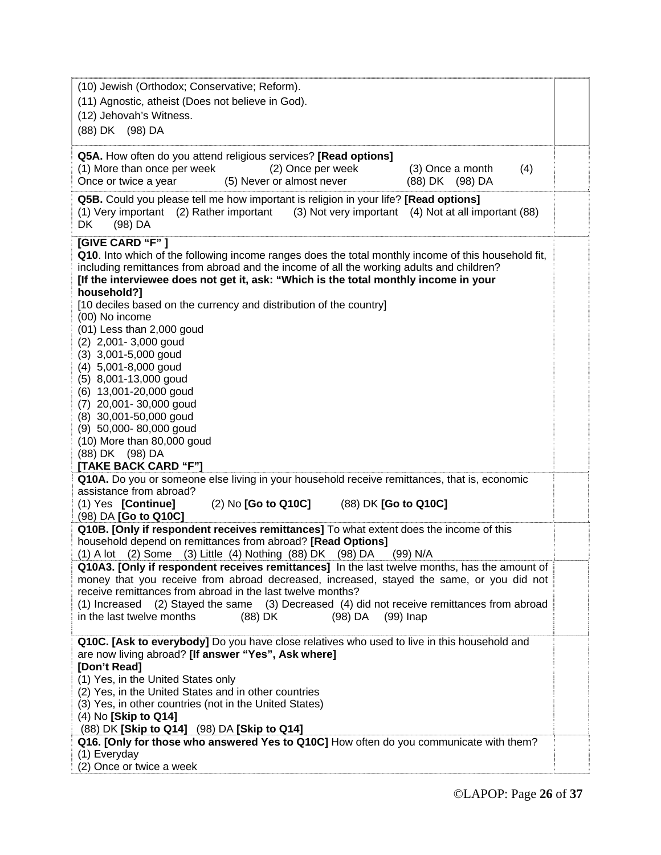| (10) Jewish (Orthodox; Conservative; Reform).<br>(11) Agnostic, atheist (Does not believe in God).<br>(12) Jehovah's Witness.<br>(88) DK (98) DA                                                                                                                                                                                                                                                                                                                                                                                                                                                                                                                                                                                       |  |
|----------------------------------------------------------------------------------------------------------------------------------------------------------------------------------------------------------------------------------------------------------------------------------------------------------------------------------------------------------------------------------------------------------------------------------------------------------------------------------------------------------------------------------------------------------------------------------------------------------------------------------------------------------------------------------------------------------------------------------------|--|
| Q5A. How often do you attend religious services? [Read options]<br>(1) More than once per week<br>(2) Once per week<br>(3) Once a month<br>(4)<br>Once or twice a year<br>(5) Never or almost never<br>(88) DK (98) DA                                                                                                                                                                                                                                                                                                                                                                                                                                                                                                                 |  |
| Q5B. Could you please tell me how important is religion in your life? [Read options]<br>(1) Very important (2) Rather important<br>(3) Not very important (4) Not at all important (88)<br>(98) DA<br>DK                                                                                                                                                                                                                                                                                                                                                                                                                                                                                                                               |  |
| [GIVE CARD "F"]<br>Q10. Into which of the following income ranges does the total monthly income of this household fit,<br>including remittances from abroad and the income of all the working adults and children?<br>[If the interviewee does not get it, ask: "Which is the total monthly income in your<br>household?]<br>[10 deciles based on the currency and distribution of the country]<br>(00) No income<br>(01) Less than 2,000 goud<br>$(2)$ 2,001 - 3,000 goud<br>$(3)$ 3,001-5,000 goud<br>(4) 5,001-8,000 goud<br>(5) 8,001-13,000 goud<br>(6) 13,001-20,000 goud<br>(7) 20,001-30,000 goud<br>(8) 30,001-50,000 goud<br>(9) 50,000-80,000 goud<br>(10) More than 80,000 goud<br>(88) DK (98) DA<br>[TAKE BACK CARD "F"] |  |
| Q10A. Do you or someone else living in your household receive remittances, that is, economic<br>assistance from abroad?<br>(88) DK [Go to Q10C]<br>(1) Yes [Continue]<br>$(2)$ No $[Go to Q10C]$<br>(98) DA [Go to Q10C]                                                                                                                                                                                                                                                                                                                                                                                                                                                                                                               |  |
| Q10B. [Only if respondent receives remittances] To what extent does the income of this<br>household depend on remittances from abroad? [Read Options]<br>(3) Little (4) Nothing (88) DK<br>$(2)$ Some<br>$(1)$ A lot<br>$(98)$ DA<br>(99) N/A                                                                                                                                                                                                                                                                                                                                                                                                                                                                                          |  |
| Q10A3. [Only if respondent receives remittances] In the last twelve months, has the amount of<br>money that you receive from abroad decreased, increased, stayed the same, or you did not<br>receive remittances from abroad in the last twelve months?<br>(1) Increased<br>(2) Stayed the same (3) Decreased (4) did not receive remittances from abroad<br>in the last twelve months<br>(88) DK<br>(98) DA<br>(99) Inap                                                                                                                                                                                                                                                                                                              |  |
| Q10C. [Ask to everybody] Do you have close relatives who used to live in this household and<br>are now living abroad? [If answer "Yes", Ask where]<br>[Don't Read]<br>(1) Yes, in the United States only<br>(2) Yes, in the United States and in other countries<br>(3) Yes, in other countries (not in the United States)<br>(4) No [Skip to Q14]<br>(88) DK [Skip to Q14] (98) DA [Skip to Q14]<br>Q16. [Only for those who answered Yes to Q10C] How often do you communicate with them?<br>(1) Everyday<br>(2) Once or twice a week                                                                                                                                                                                                |  |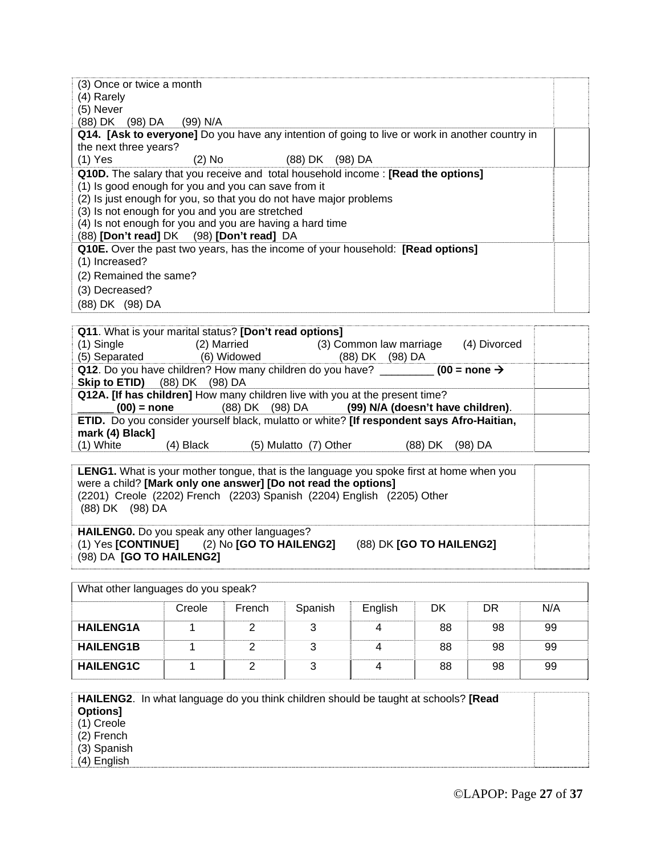| (3) Once or twice a month<br>(4) Rarely                                                                                                                                                                                                                                                                                                                                          |  |
|----------------------------------------------------------------------------------------------------------------------------------------------------------------------------------------------------------------------------------------------------------------------------------------------------------------------------------------------------------------------------------|--|
| (5) Never                                                                                                                                                                                                                                                                                                                                                                        |  |
| (88) DK (98) DA<br>(99) N/A                                                                                                                                                                                                                                                                                                                                                      |  |
| Q14. [Ask to everyone] Do you have any intention of going to live or work in another country in<br>the next three years?                                                                                                                                                                                                                                                         |  |
| (2) No (88) DK (98) DA<br>$(1)$ Yes                                                                                                                                                                                                                                                                                                                                              |  |
| <b>Q10D.</b> The salary that you receive and total household income: [Read the options]<br>(1) Is good enough for you and you can save from it<br>(2) Is just enough for you, so that you do not have major problems<br>(3) Is not enough for you and you are stretched<br>(4) Is not enough for you and you are having a hard time<br>(88) [Don't read] DK (98) [Don't read] DA |  |
| Q10E. Over the past two years, has the income of your household: [Read options]<br>(1) Increased?<br>(2) Remained the same?<br>(3) Decreased?<br>(88) DK (98) DA                                                                                                                                                                                                                 |  |

|                                      |             | Q11. What is your marital status? [Don't read options] |                                                                                              |         |              |  |
|--------------------------------------|-------------|--------------------------------------------------------|----------------------------------------------------------------------------------------------|---------|--------------|--|
| $(1)$ Single                         | (2) Married |                                                        | (3) Common law marriage                                                                      |         | (4) Divorced |  |
| (5) Separated                        |             | (6) Widowed                                            | (88) DK (98) DA                                                                              |         |              |  |
|                                      |             |                                                        | Q12. Do you have children? How many children do you have? _________ (00 = none $\rightarrow$ |         |              |  |
| <b>Skip to ETID)</b> (88) DK (98) DA |             |                                                        |                                                                                              |         |              |  |
|                                      |             |                                                        | Q12A. [If has children] How many children live with you at the present time?                 |         |              |  |
| $(00)$ = none                        |             |                                                        | (88) DK (98) DA (99) N/A (doesn't have children).                                            |         |              |  |
|                                      |             |                                                        | ETID. Do you consider yourself black, mulatto or white? [If respondent says Afro-Haitian,    |         |              |  |
| mark (4) Black]                      |             |                                                        |                                                                                              |         |              |  |
| $(1)$ White                          | (4) Black   | (5) Mulatto (7) Other                                  |                                                                                              | (88) DK | (98) DA      |  |
|                                      |             |                                                        |                                                                                              |         |              |  |

| <b>LENG1.</b> What is your mother tongue, that is the language you spoke first at home when you<br>were a child? [Mark only one answer] [Do not read the options]<br>(2201) Creole (2202) French (2203) Spanish (2204) English (2205) Other<br>(88) DK (98) DA |  |
|----------------------------------------------------------------------------------------------------------------------------------------------------------------------------------------------------------------------------------------------------------------|--|
| HAILENGO. Do you speak any other languages?<br>$(2)$ No <b>[GO TO HAILENG2]</b><br>(88) DK [GO TO HAILENG2]<br>(1) Yes <b>[CONTINUE]</b>                                                                                                                       |  |

(98) DA **[GO TO HAILENG2]**

What other languages do you speak? Creole French Spanish English DK DR N/A **HAILENG1A** 1 2 3 4 88 98 99 **HAILENG1B** 1 2 3 4 88 98 99 **HAILENG1C** 1 2 3 4 88 98 99

**HAILENG2**. In what language do you think children should be taught at schools? **[Read Options]** (1) Creole (2) French

(3) Spanish

(4) English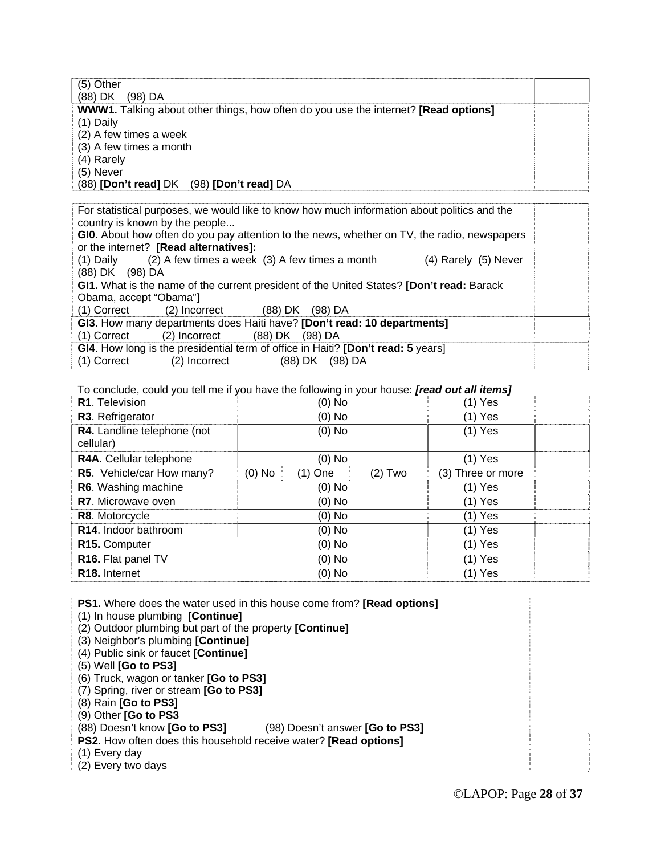| $(5)$ Other                                                                                       |  |
|---------------------------------------------------------------------------------------------------|--|
| (88) DK<br>(98) DA                                                                                |  |
| <b>WWW1.</b> Talking about other things, how often do you use the internet? <b>[Read options]</b> |  |
| $(1)$ Daily                                                                                       |  |
| (2) A few times a week                                                                            |  |
| (3) A few times a month                                                                           |  |
| (4) Rarely                                                                                        |  |
| (5) Never                                                                                         |  |
| (88) [Don't read] DK (98) [Don't read] DA                                                         |  |

For statistical purposes, we would like to know how much information about politics and the country is known by the people...

**GI0.** About how often do you pay attention to the news, whether on TV, the radio, newspapers or the internet? **[Read alternatives]:** 

(1) Daily (2) A few times a week (3) A few times a month (4) Rarely (5) Never (88) DK (98) DA

**GI1.** What is the name of the current president of the United States? **[Don't read:** Barack Obama, accept "Obama"**]**

(1) Correct (2) Incorrect (88) DK (98) DA

**GI3**. How many departments does Haiti have? **[Don't read: 10 departments]** (1) Correct (2) Incorrect (88) DK (98) DA

**GI4**. How long is the presidential term of office in Haiti? **[Don't read: 5** years]<br>(1) Correct (2) Incorrect (88) DK (98) DA

(1) Correct (2) Incorrect (88) DK (98) DA

To conclude, could you tell me if you have the following in your house: *[read out all items]*

| R1. Television                           | (0) No                |           | $(1)$ Yes         |  |
|------------------------------------------|-----------------------|-----------|-------------------|--|
| R3. Refrigerator                         | $(0)$ No              |           | $(1)$ Yes         |  |
| R4. Landline telephone (not<br>cellular) | $(0)$ No              |           | $(1)$ Yes         |  |
| R4A. Cellular telephone                  | $(0)$ No              |           | (1) Yes           |  |
| R5. Vehicle/car How many?                | $(0)$ No<br>$(1)$ One | $(2)$ Two | (3) Three or more |  |
| R6. Washing machine                      | $(0)$ No              |           | (1) Yes           |  |
| R7. Microwave oven                       | (0) No                |           | $(1)$ Yes         |  |
| R8. Motorcycle                           | $(0)$ No              |           | $(1)$ Yes         |  |
| R14. Indoor bathroom                     | $(0)$ No              |           | $(1)$ Yes         |  |
| R <sub>15</sub> . Computer               | $(0)$ No              |           | $(1)$ Yes         |  |
| R16. Flat panel TV                       | $(0)$ No              |           | $(1)$ Yes         |  |
| R <sub>18</sub> . Internet               | (0) No                |           | (1) Yes           |  |

**PS1.** Where does the water used in this house come from? **[Read options]** (1) In house plumbing **[Continue]**  (2) Outdoor plumbing but part of the property **[Continue]** (3) Neighbor's plumbing **[Continue]**  (4) Public sink or faucet **[Continue]**  (5) Well **[Go to PS3]**  (6) Truck, wagon or tanker **[Go to PS3]**  (7) Spring, river or stream **[Go to PS3]**  (8) Rain **[Go to PS3]**  (9) Other **[Go to PS3**  (88) Doesn't know **[Go to PS3]** (98) Doesn't answer **[Go to PS3] PS2.** How often does this household receive water? **[Read options]**  (1) Every day (2) Every two days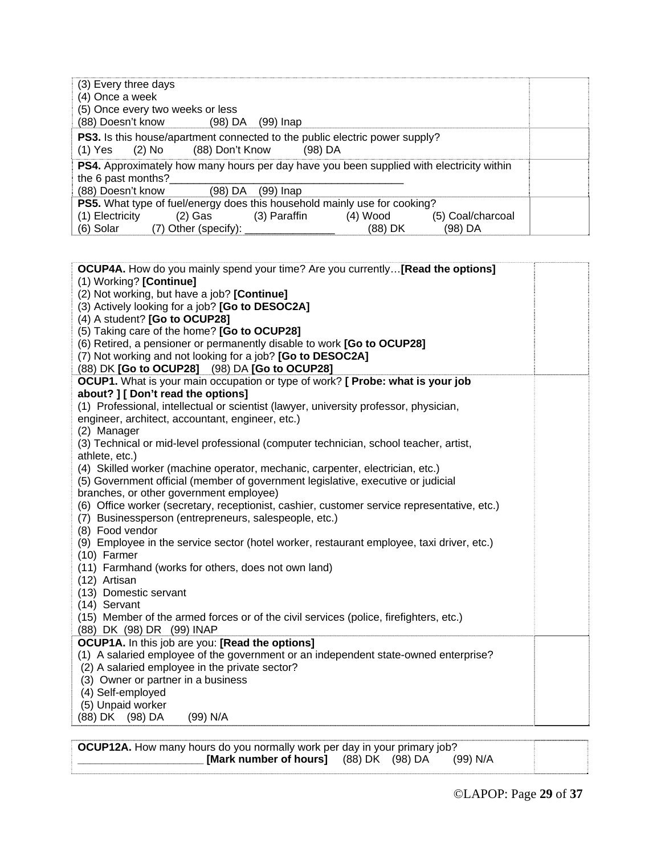| (3) Every three days<br>(4) Once a week<br>(5) Once every two weeks or less<br>(88) Doesn't know<br>(98) DA<br>(99) Inap                                             |                    |
|----------------------------------------------------------------------------------------------------------------------------------------------------------------------|--------------------|
| <b>PS3.</b> Is this house/apartment connected to the public electric power supply?<br>(88) Don't Know<br>(1) Yes (2) No<br>$(98)$ DA                                 |                    |
| <b>PS4.</b> Approximately how many hours per day have you been supplied with electricity within<br>the 6 past months?<br>(88) Doesn't know<br>(98) DA<br>$(99)$ Inap |                    |
| <b>PS5.</b> What type of fuel/energy does this household mainly use for cooking?                                                                                     |                    |
| (1) Electricity<br>(3) Paraffin<br>(4) Wood<br>(2) Gas                                                                                                               | (5) Coal/charcoal  |
| $(7)$ Other (specify): $_{-}$<br>(6) Solar                                                                                                                           | (98) DA<br>(88) DK |

| <b>OCUP4A.</b> How do you mainly spend your time? Are you currently [Read the options]                                                |  |
|---------------------------------------------------------------------------------------------------------------------------------------|--|
| (1) Working? [Continue]                                                                                                               |  |
| (2) Not working, but have a job? [Continue]                                                                                           |  |
| (3) Actively looking for a job? [Go to DESOC2A]                                                                                       |  |
| (4) A student? [Go to OCUP28]                                                                                                         |  |
| (5) Taking care of the home? [Go to OCUP28]                                                                                           |  |
| (6) Retired, a pensioner or permanently disable to work [Go to OCUP28]                                                                |  |
| (7) Not working and not looking for a job? [Go to DESOC2A]<br>(88) DK [Go to OCUP28] (98) DA [Go to OCUP28]                           |  |
| <b>OCUP1.</b> What is your main occupation or type of work? [ Probe: what is your job                                                 |  |
| about? ] [ Don't read the options]                                                                                                    |  |
| (1) Professional, intellectual or scientist (lawyer, university professor, physician,                                                 |  |
| engineer, architect, accountant, engineer, etc.)                                                                                      |  |
| (2) Manager                                                                                                                           |  |
| (3) Technical or mid-level professional (computer technician, school teacher, artist,                                                 |  |
| athlete, etc.)                                                                                                                        |  |
| (4) Skilled worker (machine operator, mechanic, carpenter, electrician, etc.)                                                         |  |
| (5) Government official (member of government legislative, executive or judicial                                                      |  |
| branches, or other government employee)                                                                                               |  |
| (6) Office worker (secretary, receptionist, cashier, customer service representative, etc.)                                           |  |
| (7) Businessperson (entrepreneurs, salespeople, etc.)                                                                                 |  |
| (8) Food vendor                                                                                                                       |  |
| (9) Employee in the service sector (hotel worker, restaurant employee, taxi driver, etc.)                                             |  |
| (10) Farmer                                                                                                                           |  |
| (11) Farmhand (works for others, does not own land)                                                                                   |  |
| (12) Artisan                                                                                                                          |  |
| (13) Domestic servant                                                                                                                 |  |
| (14) Servant                                                                                                                          |  |
| (15) Member of the armed forces or of the civil services (police, firefighters, etc.)                                                 |  |
| (88) DK (98) DR (99) INAP                                                                                                             |  |
| OCUP1A. In this job are you: [Read the options]                                                                                       |  |
| (1) A salaried employee of the government or an independent state-owned enterprise?<br>(2) A salaried employee in the private sector? |  |
| (3) Owner or partner in a business                                                                                                    |  |
| (4) Self-employed                                                                                                                     |  |
| (5) Unpaid worker                                                                                                                     |  |
| (88) DK (98) DA<br>(99) N/A                                                                                                           |  |
|                                                                                                                                       |  |

**OCUP12A.** How many hours do you normally work per day in your primary job?<br> **Mark number of hours** [(88) DK (98) DA (99) N/A **\_\_\_\_\_\_\_\_\_\_\_\_\_\_\_\_\_\_\_\_\_ [Mark number of hours]** (88) DK (98) DA(99) N/A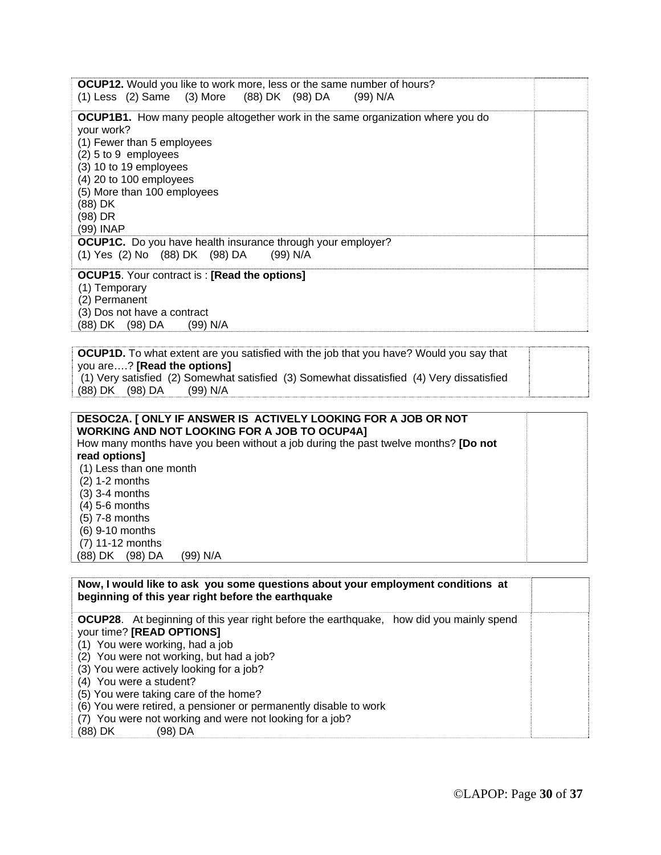| <b>OCUP12.</b> Would you like to work more, less or the same number of hours?<br>(1) Less (2) Same (3) More (88) DK (98) DA (99) N/A                                                                                                                                                 |  |
|--------------------------------------------------------------------------------------------------------------------------------------------------------------------------------------------------------------------------------------------------------------------------------------|--|
| <b>OCUP1B1.</b> How many people altogether work in the same organization where you do<br>your work?<br>(1) Fewer than 5 employees<br>$(2)$ 5 to 9 employees<br>(3) 10 to 19 employees<br>$(4)$ 20 to 100 employees<br>(5) More than 100 employees<br>(88) DK<br>(98) DR<br>(99) INAP |  |
| <b>OCUP1C.</b> Do you have health insurance through your employer?<br>(1) Yes (2) No (88) DK (98) DA (99) N/A                                                                                                                                                                        |  |
| <b>OCUP15.</b> Your contract is: [Read the options]<br>(1) Temporary<br>(2) Permanent<br>(3) Dos not have a contract<br>(88) DK (98) DA<br>(99) N/A                                                                                                                                  |  |

**OCUP1D.** To what extent are you satisfied with the job that you have? Would you say that you are….? **[Read the options]** (1) Very satisfied (2) Somewhat satisfied (3) Somewhat dissatisfied (4) Very dissatisfied (88) DK (98) DA

| DESOC2A. [ ONLY IF ANSWER IS ACTIVELY LOOKING FOR A JOB OR NOT<br><b>WORKING AND NOT LOOKING FOR A JOB TO OCUP4A]</b> |  |
|-----------------------------------------------------------------------------------------------------------------------|--|
| How many months have you been without a job during the past twelve months? [Do not                                    |  |
| read options]                                                                                                         |  |
| (1) Less than one month                                                                                               |  |
| $(2)$ 1-2 months                                                                                                      |  |
| $(3)$ 3-4 months                                                                                                      |  |
| (4) 5-6 months                                                                                                        |  |
| (5) 7-8 months                                                                                                        |  |
| $(6)$ 9-10 months                                                                                                     |  |
| (7) 11-12 months                                                                                                      |  |
| (98) DA<br>(99) N/A<br>(88) DK                                                                                        |  |

| Now, I would like to ask you some questions about your employment conditions at<br>beginning of this year right before the earthquake                                                                                                                                                                                                                                                                                                                                            |  |
|----------------------------------------------------------------------------------------------------------------------------------------------------------------------------------------------------------------------------------------------------------------------------------------------------------------------------------------------------------------------------------------------------------------------------------------------------------------------------------|--|
| <b>OCUP28.</b> At beginning of this year right before the earthquake, how did you mainly spend<br>your time? [READ OPTIONS]<br>(1) You were working, had a job<br>(2) You were not working, but had a job?<br>(3) You were actively looking for a job?<br>(4) You were a student?<br>(5) You were taking care of the home?<br>(6) You were retired, a pensioner or permanently disable to work<br>(7) You were not working and were not looking for a job?<br>(98) DA<br>(88) DK |  |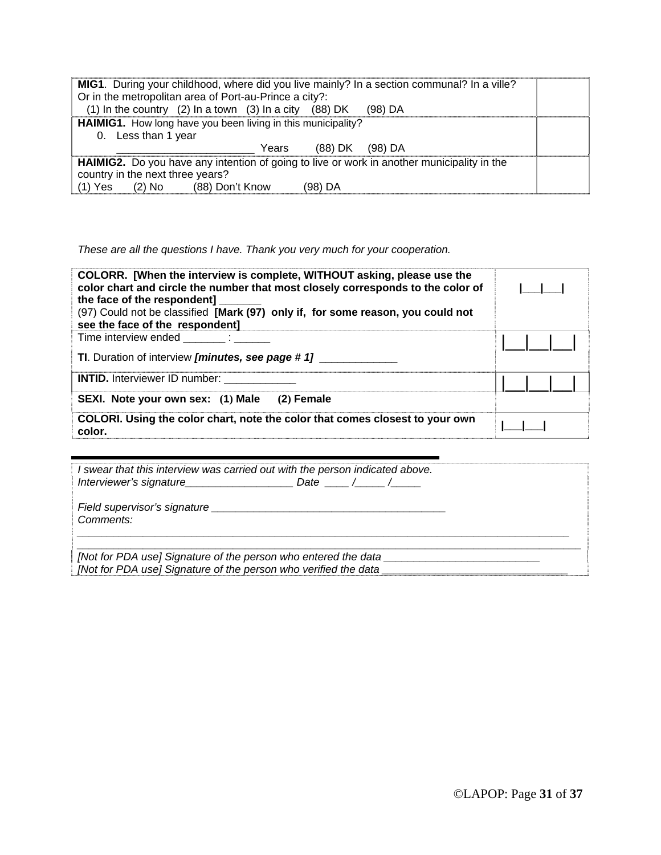| <b>MIG1.</b> During your childhood, where did you live mainly? In a section communal? In a ville?<br>Or in the metropolitan area of Port-au-Prince a city?: |  |
|-------------------------------------------------------------------------------------------------------------------------------------------------------------|--|
| (1) In the country (2) In a town (3) In a city (88) DK<br>$(98)$ DA                                                                                         |  |
| HAIMIG1. How long have you been living in this municipality?                                                                                                |  |
| 0. Less than 1 year                                                                                                                                         |  |
| (88) DK<br>Years<br>(98) DA                                                                                                                                 |  |
| <b>HAIMIG2.</b> Do you have any intention of going to live or work in another municipality in the                                                           |  |
| country in the next three years?                                                                                                                            |  |
| (88) Don't Know<br>(98) DA<br>$(1)$ Yes<br>(2) No                                                                                                           |  |

*These are all the questions I have. Thank you very much for your cooperation.* 

| COLORR. [When the interview is complete, WITHOUT asking, please use the<br>color chart and circle the number that most closely corresponds to the color of<br>the face of the respondent]<br>(97) Could not be classified [Mark (97) only if, for some reason, you could not<br>see the face of the respondent] |  |
|-----------------------------------------------------------------------------------------------------------------------------------------------------------------------------------------------------------------------------------------------------------------------------------------------------------------|--|
| Time interview ended<br><b>TI.</b> Duration of interview [minutes, see page # 1]                                                                                                                                                                                                                                |  |
| <b>INTID.</b> Interviewer ID number:<br>SEXI. Note your own sex: (1) Male<br>$(2)$ Female                                                                                                                                                                                                                       |  |
| COLORI. Using the color chart, note the color that comes closest to your own<br>color.                                                                                                                                                                                                                          |  |

| I swear that this interview was carried out with the person indicated above.<br>Interviewer's signature<br>Date / /                        |
|--------------------------------------------------------------------------------------------------------------------------------------------|
| Comments:                                                                                                                                  |
| [Not for PDA use] Signature of the person who entered the data ________<br>[Not for PDA use] Signature of the person who verified the data |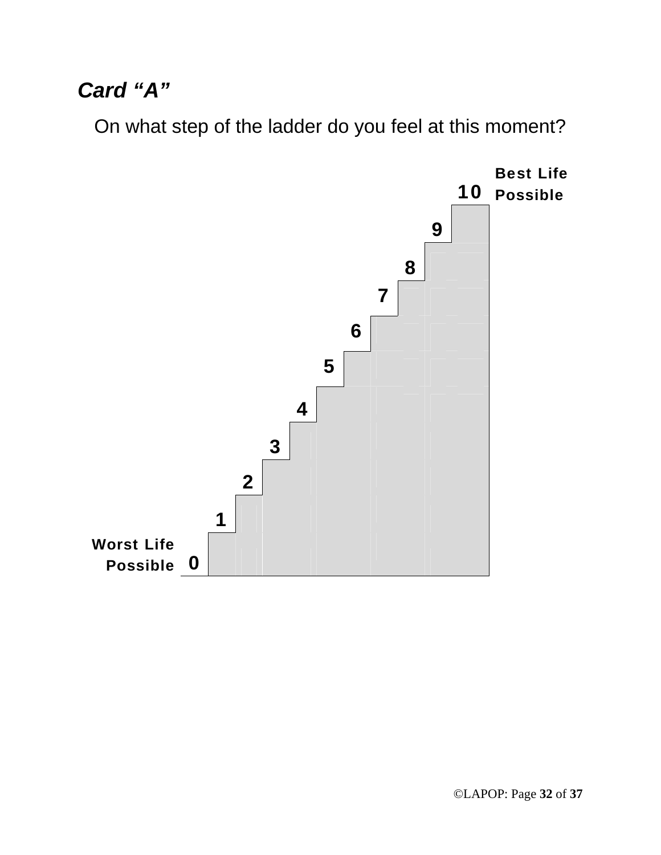## *Card "A"*

On what step of the ladder do you feel at this moment?

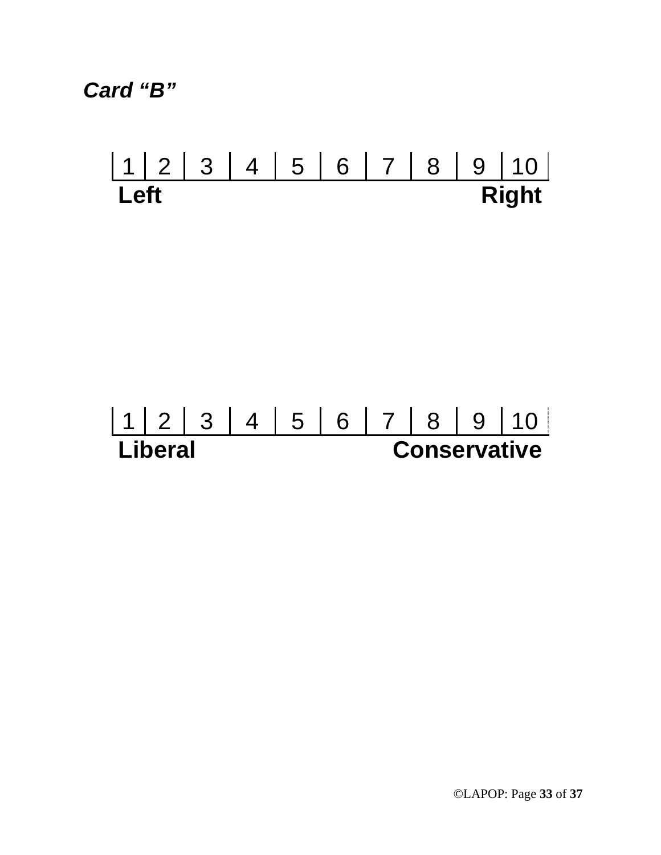*Card "B"* 

# 1 2 3 4 5 6 7 8 9 10<br> **Left** Right **Right**

# 1 2 3 4 5 6 7 8 9 10<br> **Liberal Conservative Conservative**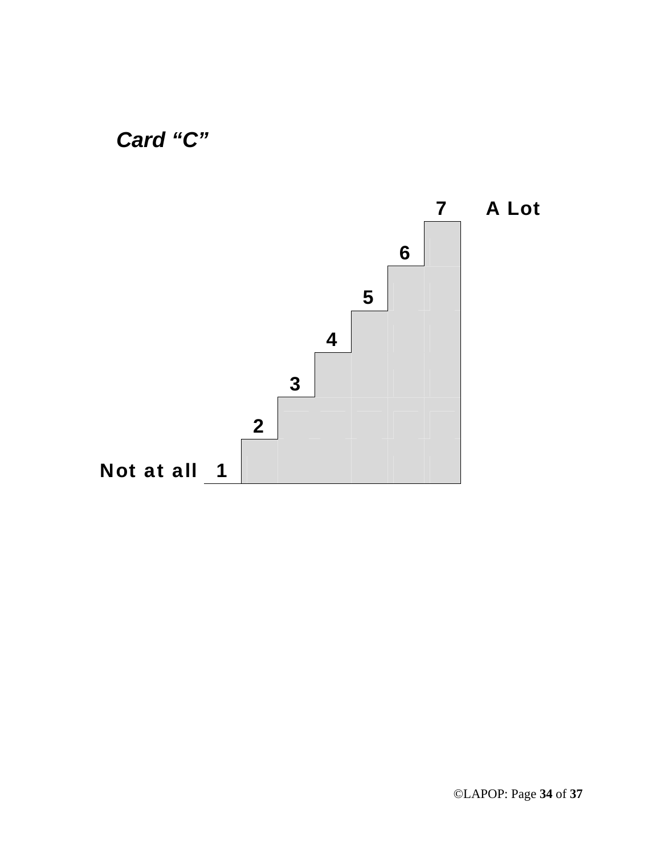

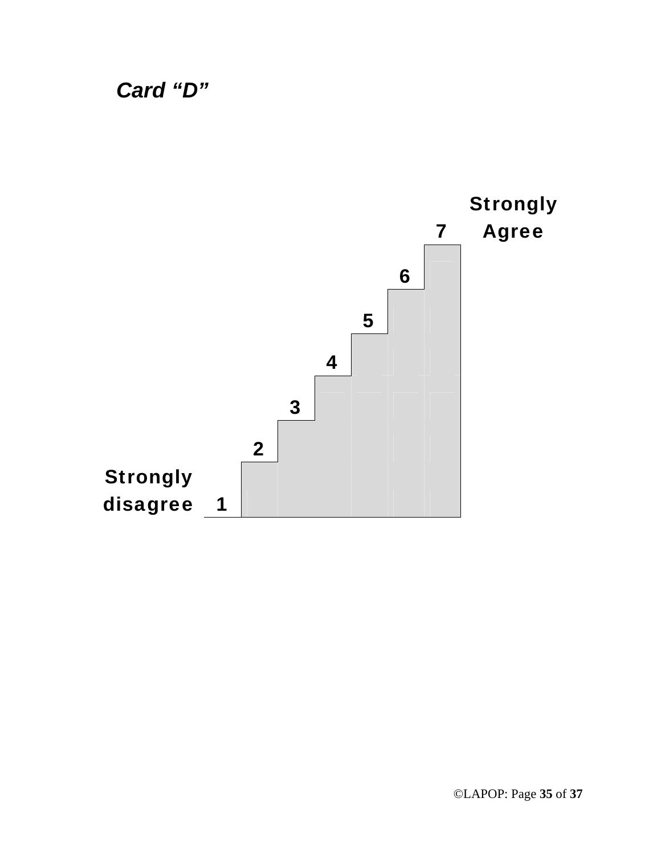*Card "D"* 

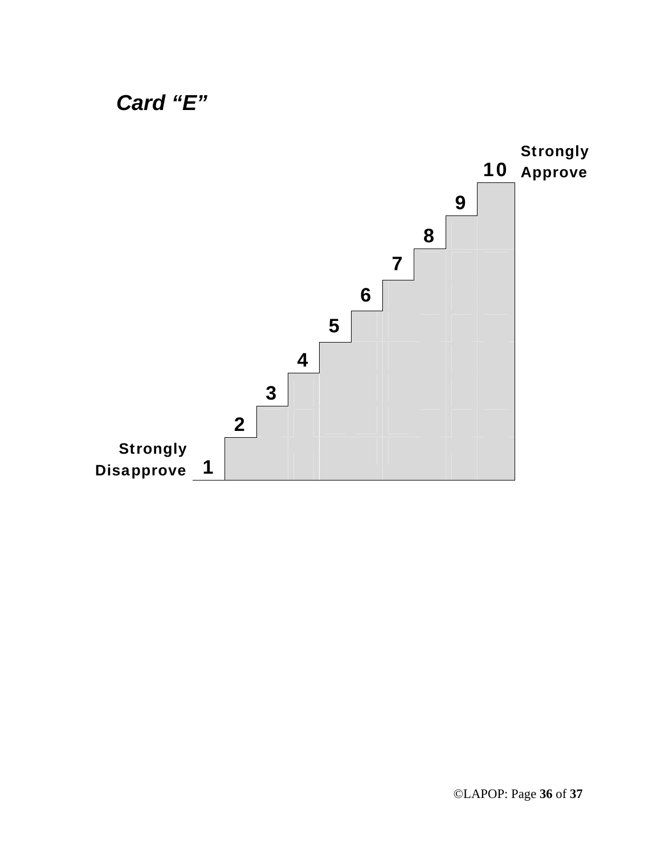

### ©LAPOP: Page **36** of **37**